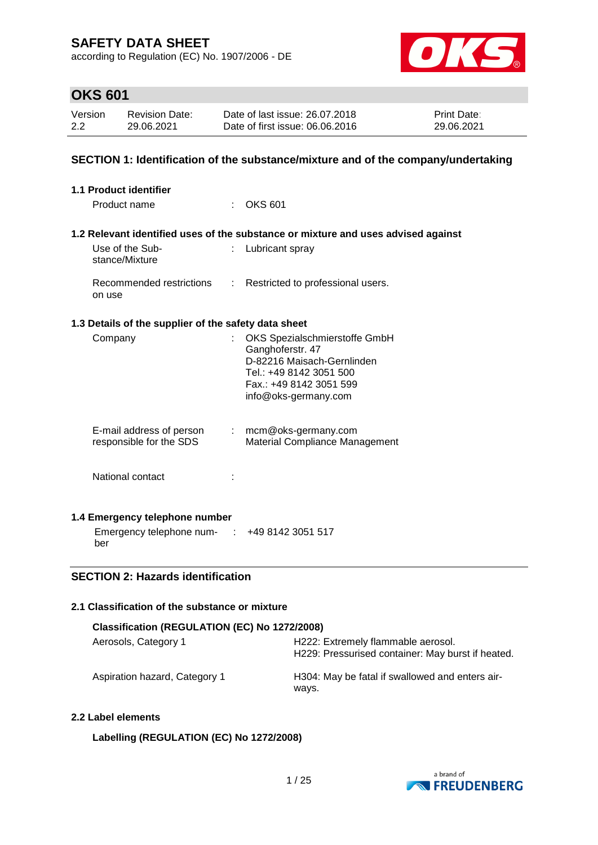according to Regulation (EC) No. 1907/2006 - DE



# **OKS 601**

| Version | Revision Date: | Date of last issue: 26.07.2018  | <b>Print Date:</b> |
|---------|----------------|---------------------------------|--------------------|
| 2.2     | 29.06.2021     | Date of first issue: 06.06.2016 | 29.06.2021         |

### **SECTION 1: Identification of the substance/mixture and of the company/undertaking**

| 1.1 Product identifier                               |                             |                                                                                                                                                               |
|------------------------------------------------------|-----------------------------|---------------------------------------------------------------------------------------------------------------------------------------------------------------|
| Product name                                         |                             | <b>OKS 601</b>                                                                                                                                                |
|                                                      |                             | 1.2 Relevant identified uses of the substance or mixture and uses advised against                                                                             |
| Use of the Sub-<br>stance/Mixture                    | ÷                           | Lubricant spray                                                                                                                                               |
| Recommended restrictions<br>on use                   | $\mathcal{L}^{\mathcal{L}}$ | Restricted to professional users.                                                                                                                             |
| 1.3 Details of the supplier of the safety data sheet |                             |                                                                                                                                                               |
| Company                                              |                             | OKS Spezialschmierstoffe GmbH<br>Ganghoferstr. 47<br>D-82216 Maisach-Gernlinden<br>Tel.: +49 8142 3051 500<br>Fax.: +49 8142 3051 599<br>info@oks-germany.com |
| E-mail address of person<br>responsible for the SDS  |                             | $:$ mcm@oks-germany.com<br>Material Compliance Management                                                                                                     |
| National contact                                     |                             |                                                                                                                                                               |
| 1.4 Emergency telephone number                       |                             |                                                                                                                                                               |
| Emergency telephone num- : +49 8142 3051 517<br>ber  |                             |                                                                                                                                                               |

### **SECTION 2: Hazards identification**

### **2.1 Classification of the substance or mixture**

| Classification (REGULATION (EC) No 1272/2008) |                                                                                         |  |  |  |
|-----------------------------------------------|-----------------------------------------------------------------------------------------|--|--|--|
| Aerosols, Category 1                          | H222: Extremely flammable aerosol.<br>H229: Pressurised container: May burst if heated. |  |  |  |
| Aspiration hazard, Category 1                 | H304: May be fatal if swallowed and enters air-<br>ways.                                |  |  |  |

#### **2.2 Label elements**

### **Labelling (REGULATION (EC) No 1272/2008)**

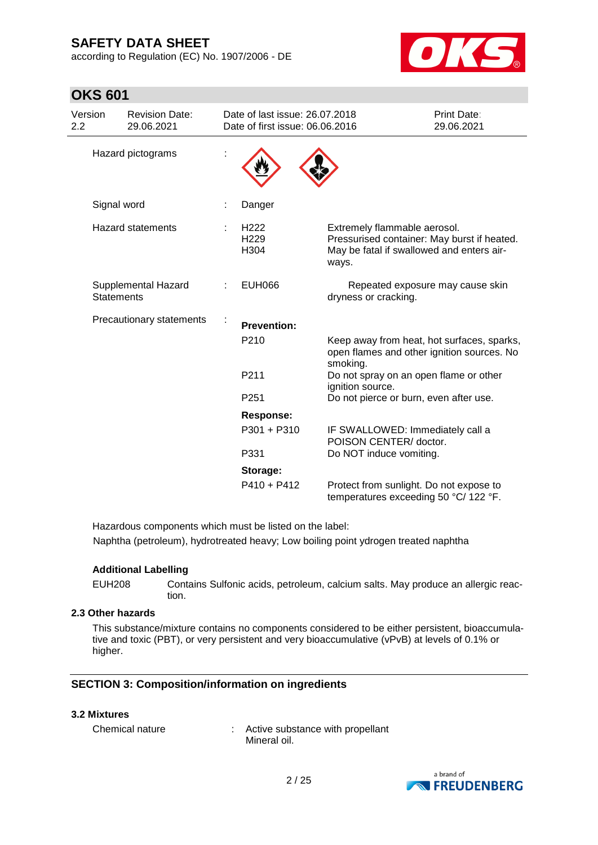**OKS 601**

according to Regulation (EC) No. 1907/2006 - DE



| Version<br>2.2 | <b>Revision Date:</b><br>29.06.2021      | Date of last issue: 26.07.2018<br>Date of first issue: 06.06.2016 |                                                                                                                                   | Print Date:<br>29.06.2021        |
|----------------|------------------------------------------|-------------------------------------------------------------------|-----------------------------------------------------------------------------------------------------------------------------------|----------------------------------|
|                | Hazard pictograms                        |                                                                   |                                                                                                                                   |                                  |
|                | Signal word                              | Danger                                                            |                                                                                                                                   |                                  |
|                | <b>Hazard statements</b>                 | H <sub>222</sub><br>H <sub>229</sub><br>H <sub>304</sub>          | Extremely flammable aerosol.<br>Pressurised container: May burst if heated.<br>May be fatal if swallowed and enters air-<br>ways. |                                  |
|                | Supplemental Hazard<br><b>Statements</b> | <b>EUH066</b>                                                     | dryness or cracking.                                                                                                              | Repeated exposure may cause skin |
|                | Precautionary statements                 | <b>Prevention:</b>                                                |                                                                                                                                   |                                  |
|                |                                          | P210                                                              | Keep away from heat, hot surfaces, sparks,<br>open flames and other ignition sources. No<br>smoking.                              |                                  |
|                |                                          | P211                                                              | Do not spray on an open flame or other<br>ignition source.                                                                        |                                  |
|                |                                          | P <sub>251</sub>                                                  | Do not pierce or burn, even after use.                                                                                            |                                  |
|                |                                          | <b>Response:</b>                                                  |                                                                                                                                   |                                  |
|                |                                          | P301 + P310                                                       | IF SWALLOWED: Immediately call a<br>POISON CENTER/ doctor.                                                                        |                                  |
|                |                                          | P331                                                              | Do NOT induce vomiting.                                                                                                           |                                  |
|                |                                          | Storage:                                                          |                                                                                                                                   |                                  |
|                |                                          | $P410 + P412$                                                     | Protect from sunlight. Do not expose to<br>temperatures exceeding 50 °C/ 122 °F.                                                  |                                  |

Hazardous components which must be listed on the label: Naphtha (petroleum), hydrotreated heavy; Low boiling point ydrogen treated naphtha

#### **Additional Labelling**

EUH208 Contains Sulfonic acids, petroleum, calcium salts. May produce an allergic reaction.

### **2.3 Other hazards**

This substance/mixture contains no components considered to be either persistent, bioaccumulative and toxic (PBT), or very persistent and very bioaccumulative (vPvB) at levels of 0.1% or higher.

#### **SECTION 3: Composition/information on ingredients**

#### **3.2 Mixtures**

Chemical nature : Active substance with propellant Mineral oil.

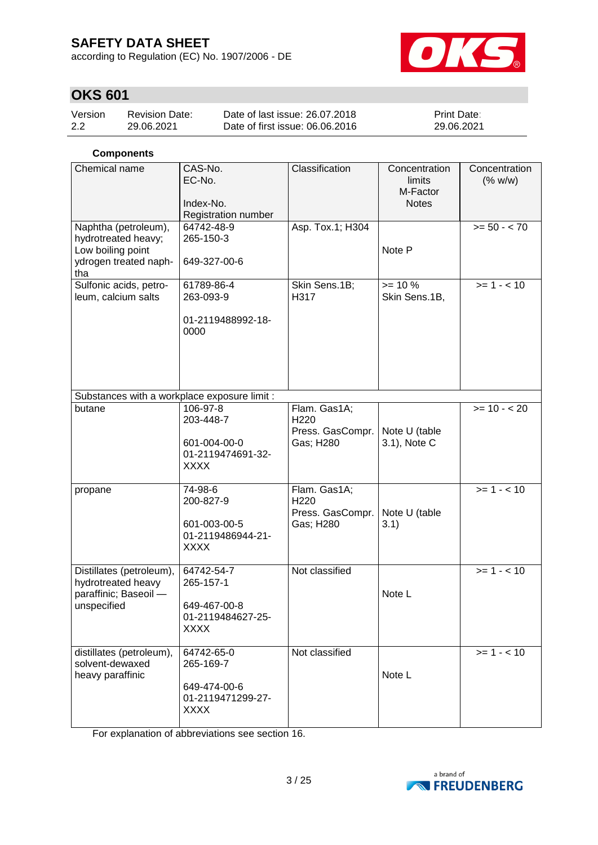according to Regulation (EC) No. 1907/2006 - DE



# **OKS 601**

| Version | <b>Revision Date:</b> | Date of last issue: 26.07.2018  | <b>Print Date:</b> |
|---------|-----------------------|---------------------------------|--------------------|
| 2.2     | 29.06.2021            | Date of first issue: 06.06.2016 | 29.06.2021         |

### **Components**

| Chemical name                                                                          | CAS-No.<br>EC-No.<br>Index-No.<br>Registration number                       | Classification                                                    | Concentration<br>limits<br>M-Factor<br><b>Notes</b> | Concentration<br>(% w/w) |
|----------------------------------------------------------------------------------------|-----------------------------------------------------------------------------|-------------------------------------------------------------------|-----------------------------------------------------|--------------------------|
| Naphtha (petroleum),<br>hydrotreated heavy;<br>Low boiling point                       | 64742-48-9<br>265-150-3                                                     | Asp. Tox.1; H304                                                  | Note P                                              | $>= 50 - 70$             |
| ydrogen treated naph-<br>tha                                                           | 649-327-00-6                                                                |                                                                   |                                                     |                          |
| Sulfonic acids, petro-<br>leum, calcium salts                                          | 61789-86-4<br>263-093-9<br>01-2119488992-18-                                | Skin Sens.1B;<br>H317                                             | $>= 10 \%$<br>Skin Sens.1B,                         | $>= 1 - 10$              |
|                                                                                        | 0000                                                                        |                                                                   |                                                     |                          |
| Substances with a workplace exposure limit :                                           |                                                                             |                                                                   |                                                     |                          |
| butane                                                                                 | 106-97-8<br>203-448-7<br>601-004-00-0<br>01-2119474691-32-<br><b>XXXX</b>   | Flam. Gas1A;<br>H220<br>Press. GasCompr.<br>Gas; H280             | Note U (table<br>3.1), Note C                       | $>= 10 - 20$             |
| propane                                                                                | 74-98-6<br>200-827-9<br>601-003-00-5<br>01-2119486944-21-<br><b>XXXX</b>    | Flam. Gas1A;<br>H <sub>220</sub><br>Press. GasCompr.<br>Gas; H280 | Note U (table<br>3.1)                               | $>= 1 - 10$              |
| Distillates (petroleum),<br>hydrotreated heavy<br>paraffinic; Baseoil -<br>unspecified | 64742-54-7<br>265-157-1<br>649-467-00-8<br>01-2119484627-25-<br><b>XXXX</b> | Not classified                                                    | Note L                                              | $>= 1 - 10$              |
| distillates (petroleum),<br>solvent-dewaxed<br>heavy paraffinic                        | 64742-65-0<br>265-169-7<br>649-474-00-6<br>01-2119471299-27-<br><b>XXXX</b> | Not classified                                                    | Note L                                              | $>= 1 - 10$              |

For explanation of abbreviations see section 16.

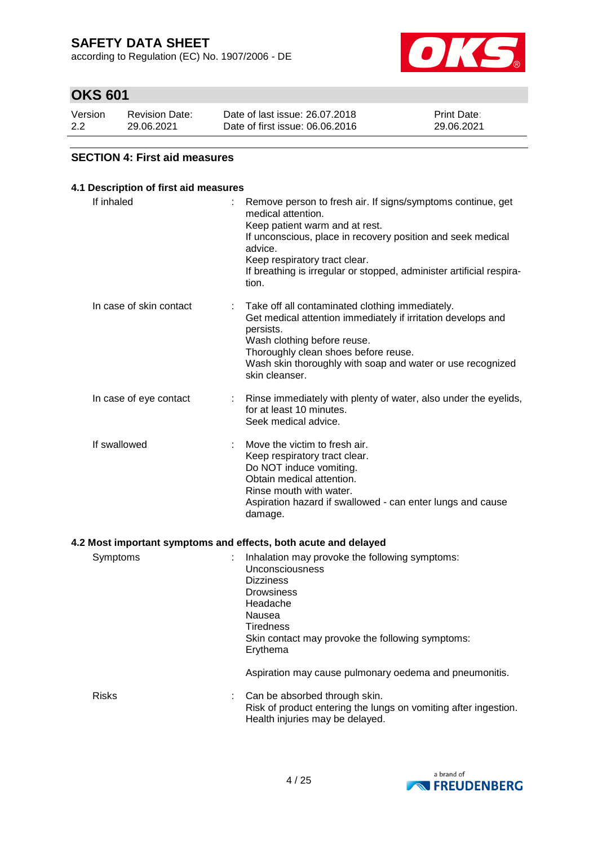according to Regulation (EC) No. 1907/2006 - DE



### **OKS 601**

| Version | <b>Revision Date:</b> | Date of last issue: 26.07.2018  | <b>Print Date:</b> |
|---------|-----------------------|---------------------------------|--------------------|
| 2.2     | 29.06.2021            | Date of first issue: 06,06,2016 | 29.06.2021         |

### **SECTION 4: First aid measures**

### **4.1 Description of first aid measures** If inhaled : Remove person to fresh air. If signs/symptoms continue, get medical attention. Keep patient warm and at rest. If unconscious, place in recovery position and seek medical advice. Keep respiratory tract clear. If breathing is irregular or stopped, administer artificial respiration. In case of skin contact : Take off all contaminated clothing immediately. Get medical attention immediately if irritation develops and persists. Wash clothing before reuse. Thoroughly clean shoes before reuse. Wash skin thoroughly with soap and water or use recognized skin cleanser. In case of eye contact : Rinse immediately with plenty of water, also under the eyelids, for at least 10 minutes. Seek medical advice. If swallowed : Move the victim to fresh air. Keep respiratory tract clear. Do NOT induce vomiting. Obtain medical attention. Rinse mouth with water. Aspiration hazard if swallowed - can enter lungs and cause damage. **4.2 Most important symptoms and effects, both acute and delayed** Symptoms : Inhalation may provoke the following symptoms: Unconsciousness Dizziness **Drowsiness** Headache Nausea **Tiredness** Skin contact may provoke the following symptoms: Erythema

Aspiration may cause pulmonary oedema and pneumonitis.

Risks : Can be absorbed through skin. Risk of product entering the lungs on vomiting after ingestion. Health injuries may be delayed.

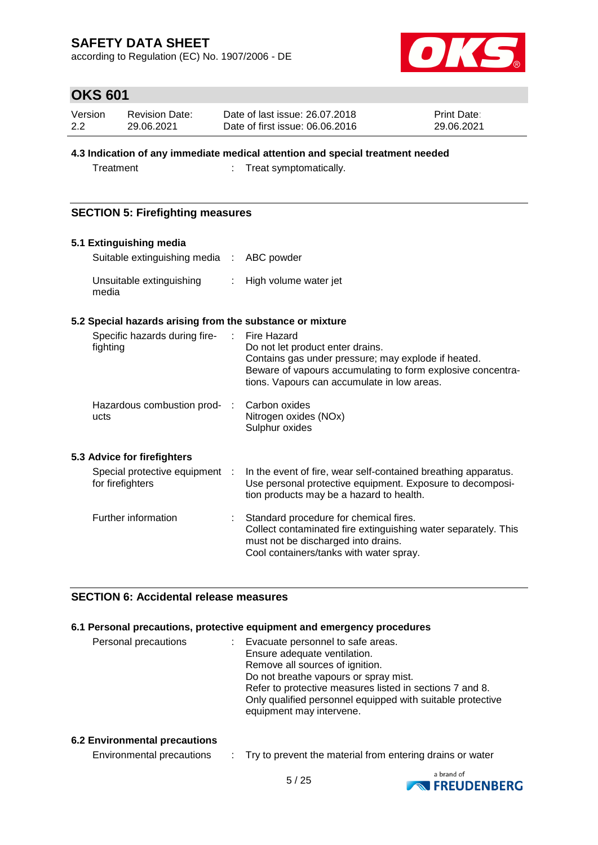according to Regulation (EC) No. 1907/2006 - DE



# **OKS 601**

| Version | <b>Revision Date:</b> | Date of last issue: 26.07.2018  | <b>Print Date:</b> |
|---------|-----------------------|---------------------------------|--------------------|
| 2.2     | 29.06.2021            | Date of first issue: 06,06,2016 | 29.06.2021         |

### **4.3 Indication of any immediate medical attention and special treatment needed**

Treatment : Treat symptomatically.

### **SECTION 5: Firefighting measures**

# **5.1 Extinguishing media** Suitable extinguishing media : ABC powder

| Unsuitable extinguishing | High volume water jet |
|--------------------------|-----------------------|
| media                    |                       |

### **5.2 Special hazards arising from the substance or mixture**

| Specific hazards during fire-<br>fighting          | ÷. | Fire Hazard<br>Do not let product enter drains.<br>Contains gas under pressure; may explode if heated.<br>Beware of vapours accumulating to form explosive concentra-<br>tions. Vapours can accumulate in low areas. |
|----------------------------------------------------|----|----------------------------------------------------------------------------------------------------------------------------------------------------------------------------------------------------------------------|
| Hazardous combustion prod- :<br>ucts               |    | Carbon oxides<br>Nitrogen oxides (NOx)<br>Sulphur oxides                                                                                                                                                             |
| 5.3 Advice for firefighters                        |    |                                                                                                                                                                                                                      |
| Special protective equipment :<br>for firefighters |    | In the event of fire, wear self-contained breathing apparatus.<br>Use personal protective equipment. Exposure to decomposi-<br>tion products may be a hazard to health.                                              |
| Further information                                |    | Standard procedure for chemical fires.<br>Collect contaminated fire extinguishing water separately. This<br>must not be discharged into drains.<br>Cool containers/tanks with water spray.                           |

### **SECTION 6: Accidental release measures**

#### **6.1 Personal precautions, protective equipment and emergency procedures**

| Evacuate personnel to safe areas.<br>Ensure adequate ventilation.                      |
|----------------------------------------------------------------------------------------|
| Remove all sources of ignition.                                                        |
| Do not breathe vapours or spray mist.                                                  |
| Refer to protective measures listed in sections 7 and 8.                               |
| Only qualified personnel equipped with suitable protective<br>equipment may intervene. |
|                                                                                        |

#### **6.2 Environmental precautions**

| Environmental precautions |  |  | Try to prevent the material from entering drains or water |
|---------------------------|--|--|-----------------------------------------------------------|
|---------------------------|--|--|-----------------------------------------------------------|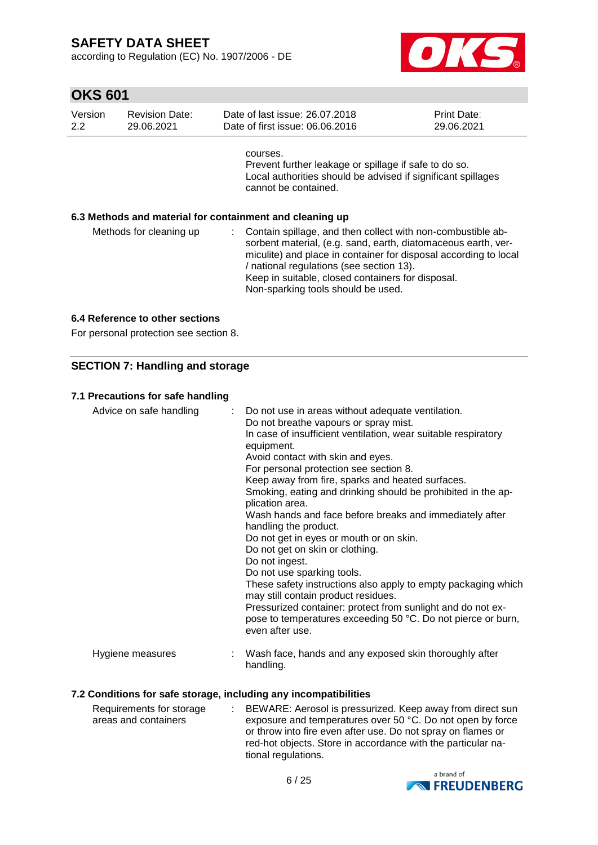according to Regulation (EC) No. 1907/2006 - DE



| Version<br>2.2 | <b>Revision Date:</b><br>29.06.2021                      |          | Date of last issue: 26.07.2018<br>Date of first issue: 06.06.2016                                                                                                                                                                                                                                                                       | <b>Print Date:</b><br>29.06.2021 |
|----------------|----------------------------------------------------------|----------|-----------------------------------------------------------------------------------------------------------------------------------------------------------------------------------------------------------------------------------------------------------------------------------------------------------------------------------------|----------------------------------|
|                |                                                          | courses. | Prevent further leakage or spillage if safe to do so.<br>Local authorities should be advised if significant spillages<br>cannot be contained.                                                                                                                                                                                           |                                  |
|                | 6.3 Methods and material for containment and cleaning up |          |                                                                                                                                                                                                                                                                                                                                         |                                  |
|                | Methods for cleaning up                                  | t.       | Contain spillage, and then collect with non-combustible ab-<br>sorbent material, (e.g. sand, earth, diatomaceous earth, ver-<br>miculite) and place in container for disposal according to local<br>/ national regulations (see section 13).<br>Keep in suitable, closed containers for disposal.<br>Non-sparking tools should be used. |                                  |

#### **6.4 Reference to other sections**

For personal protection see section 8.

### **SECTION 7: Handling and storage**

### **7.1 Precautions for safe handling**

| Advice on safe handling | : Do not use in areas without adequate ventilation.<br>Do not breathe vapours or spray mist.<br>In case of insufficient ventilation, wear suitable respiratory<br>equipment.<br>Avoid contact with skin and eyes.<br>For personal protection see section 8.<br>Keep away from fire, sparks and heated surfaces.<br>Smoking, eating and drinking should be prohibited in the ap-<br>plication area.<br>Wash hands and face before breaks and immediately after<br>handling the product.<br>Do not get in eyes or mouth or on skin.<br>Do not get on skin or clothing.<br>Do not ingest.<br>Do not use sparking tools.<br>These safety instructions also apply to empty packaging which<br>may still contain product residues.<br>Pressurized container: protect from sunlight and do not ex-<br>pose to temperatures exceeding 50 °C. Do not pierce or burn,<br>even after use. |
|-------------------------|--------------------------------------------------------------------------------------------------------------------------------------------------------------------------------------------------------------------------------------------------------------------------------------------------------------------------------------------------------------------------------------------------------------------------------------------------------------------------------------------------------------------------------------------------------------------------------------------------------------------------------------------------------------------------------------------------------------------------------------------------------------------------------------------------------------------------------------------------------------------------------|
| Hygiene measures        | Wash face, hands and any exposed skin thoroughly after<br>handling.                                                                                                                                                                                                                                                                                                                                                                                                                                                                                                                                                                                                                                                                                                                                                                                                            |

#### **7.2 Conditions for safe storage, including any incompatibilities**

| Requirements for storage | : BEWARE: Aerosol is pressurized. Keep away from direct sun  |
|--------------------------|--------------------------------------------------------------|
| areas and containers     | exposure and temperatures over 50 °C. Do not open by force   |
|                          | or throw into fire even after use. Do not spray on flames or |
|                          | red-hot objects. Store in accordance with the particular na- |
|                          | tional regulations.                                          |

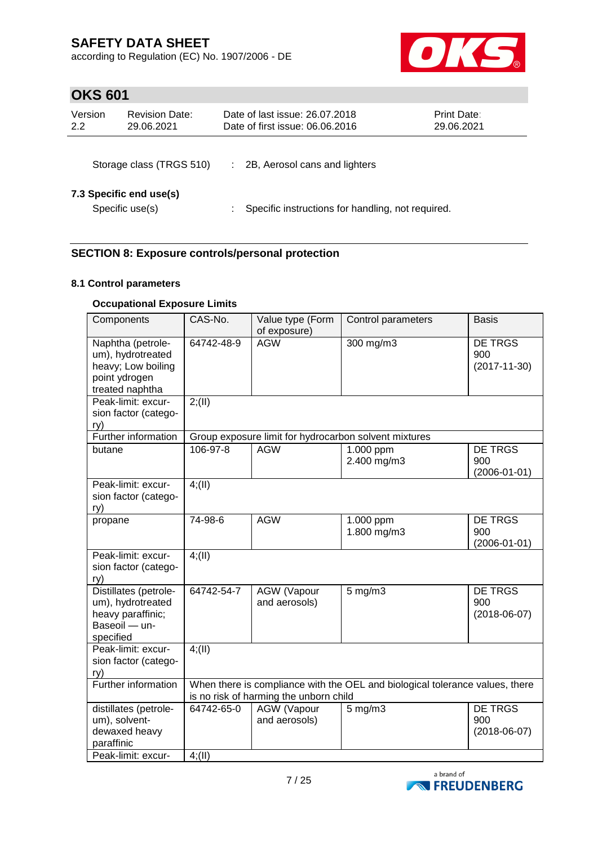according to Regulation (EC) No. 1907/2006 - DE



# **OKS 601**

| Version<br>2.2 | <b>Revision Date:</b><br>29.06.2021        | Date of last issue: 26.07.2018<br>Date of first issue: 06.06.2016 | <b>Print Date:</b><br>29.06.2021 |
|----------------|--------------------------------------------|-------------------------------------------------------------------|----------------------------------|
|                | Storage class (TRGS 510)                   | 2B, Aerosol cans and lighters                                     |                                  |
|                | 7.3 Specific end use(s)<br>Specific use(s) | Specific instructions for handling, not required.                 |                                  |

### **SECTION 8: Exposure controls/personal protection**

### **8.1 Control parameters**

### **Occupational Exposure Limits**

| Components                                                                                       | CAS-No.                                                                                                                | Value type (Form<br>of exposure)    | Control parameters                                    | <b>Basis</b>                                |
|--------------------------------------------------------------------------------------------------|------------------------------------------------------------------------------------------------------------------------|-------------------------------------|-------------------------------------------------------|---------------------------------------------|
| Naphtha (petrole-<br>um), hydrotreated<br>heavy; Low boiling<br>point ydrogen<br>treated naphtha | 64742-48-9                                                                                                             | <b>AGW</b>                          | 300 mg/m3                                             | DE TRGS<br>900<br>$(2017 - 11 - 30)$        |
| Peak-limit: excur-<br>sion factor (catego-<br>ry)                                                | 2; (II)                                                                                                                |                                     |                                                       |                                             |
| Further information                                                                              |                                                                                                                        |                                     | Group exposure limit for hydrocarbon solvent mixtures |                                             |
| butane                                                                                           | $106 - 97 - 8$                                                                                                         | <b>AGW</b>                          | 1.000 ppm<br>2.400 mg/m3                              | <b>DE TRGS</b><br>900<br>$(2006 - 01 - 01)$ |
| Peak-limit: excur-<br>sion factor (catego-<br>ry)                                                | 4(11)                                                                                                                  |                                     |                                                       |                                             |
| propane                                                                                          | 74-98-6                                                                                                                | <b>AGW</b>                          | 1.000 ppm<br>1.800 mg/m3                              | <b>DE TRGS</b><br>900<br>$(2006 - 01 - 01)$ |
| Peak-limit: excur-<br>sion factor (catego-<br>ry)                                                | 4(11)                                                                                                                  |                                     |                                                       |                                             |
| Distillates (petrole-<br>um), hydrotreated<br>heavy paraffinic;<br>Baseoil - un-<br>specified    | 64742-54-7                                                                                                             | AGW (Vapour<br>and aerosols)        | $5$ mg/m $3$                                          | <b>DE TRGS</b><br>900<br>$(2018-06-07)$     |
| Peak-limit: excur-<br>sion factor (catego-<br>ry)                                                | 4(11)                                                                                                                  |                                     |                                                       |                                             |
| <b>Further information</b>                                                                       | When there is compliance with the OEL and biological tolerance values, there<br>is no risk of harming the unborn child |                                     |                                                       |                                             |
| distillates (petrole-<br>um), solvent-<br>dewaxed heavy<br>paraffinic                            | 64742-65-0                                                                                                             | <b>AGW</b> (Vapour<br>and aerosols) | $5$ mg/m $3$                                          | <b>DE TRGS</b><br>900<br>$(2018-06-07)$     |
| Peak-limit: excur-                                                                               | 4(11)                                                                                                                  |                                     |                                                       |                                             |

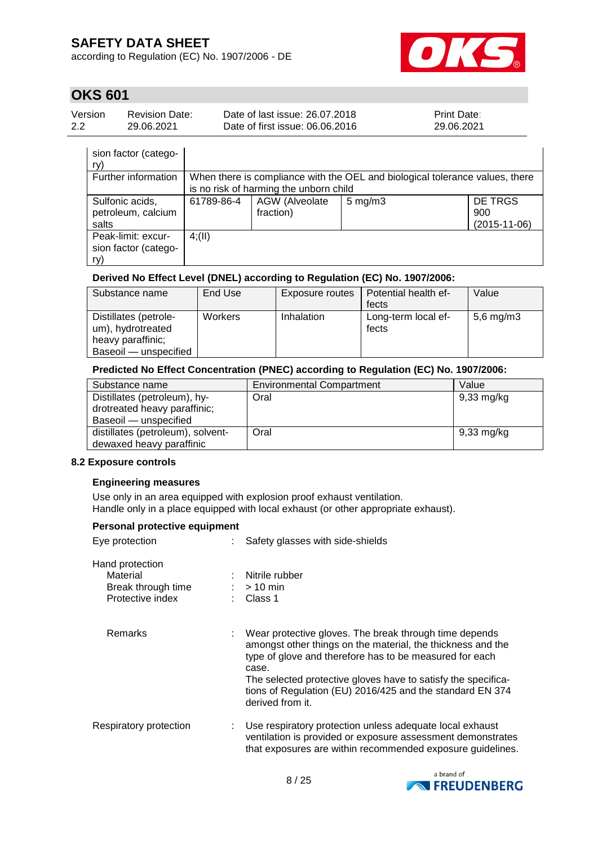according to Regulation (EC) No. 1907/2006 - DE



# **OKS 601**

| Version | Revision Date: | Date of last issue: 26.07.2018  | <b>Print Date:</b> |
|---------|----------------|---------------------------------|--------------------|
| 2.2     | 29.06.2021     | Date of first issue: 06.06.2016 | 29.06.2021         |

| sion factor (catego-<br>ry)                       |                                                                              |                                        |                    |                                      |
|---------------------------------------------------|------------------------------------------------------------------------------|----------------------------------------|--------------------|--------------------------------------|
| Further information                               | When there is compliance with the OEL and biological tolerance values, there |                                        |                    |                                      |
|                                                   |                                                                              | is no risk of harming the unborn child |                    |                                      |
| Sulfonic acids,<br>petroleum, calcium<br>salts    | 61789-86-4                                                                   | <b>AGW</b> (Alveolate<br>fraction)     | $5 \text{ mg/m}$ 3 | DE TRGS<br>900<br>$(2015 - 11 - 06)$ |
| Peak-limit: excur-<br>sion factor (catego-<br>ry) | 4(11)                                                                        |                                        |                    |                                      |

### **Derived No Effect Level (DNEL) according to Regulation (EC) No. 1907/2006:**

| Substance name                                                                           | End Use | Exposure routes | Potential health ef-         | Value          |
|------------------------------------------------------------------------------------------|---------|-----------------|------------------------------|----------------|
|                                                                                          |         |                 | fects                        |                |
| Distillates (petrole-<br>um), hydrotreated<br>heavy paraffinic;<br>Baseoil — unspecified | Workers | Inhalation      | Long-term local ef-<br>fects | $5,6$ mg/m $3$ |

#### **Predicted No Effect Concentration (PNEC) according to Regulation (EC) No. 1907/2006:**

| Substance name                    | <b>Environmental Compartment</b> | Value                |
|-----------------------------------|----------------------------------|----------------------|
| Distillates (petroleum), hy-      | Oral                             | 9,33 mg/kg           |
| drotreated heavy paraffinic;      |                                  |                      |
| Baseoil - unspecified             |                                  |                      |
| distillates (petroleum), solvent- | Oral                             | $9,33 \text{ mg/kg}$ |
| dewaxed heavy paraffinic          |                                  |                      |

#### **8.2 Exposure controls**

#### **Engineering measures**

Use only in an area equipped with explosion proof exhaust ventilation. Handle only in a place equipped with local exhaust (or other appropriate exhaust).

### **Personal protective equipment**

| Eye protection                                                        | Safety glasses with side-shields                                                                                                                                                                                                                                                                                                            |
|-----------------------------------------------------------------------|---------------------------------------------------------------------------------------------------------------------------------------------------------------------------------------------------------------------------------------------------------------------------------------------------------------------------------------------|
| Hand protection<br>Material<br>Break through time<br>Protective index | Nitrile rubber<br>$:$ > 10 min<br>$\therefore$ Class 1                                                                                                                                                                                                                                                                                      |
| Remarks                                                               | Wear protective gloves. The break through time depends<br>amongst other things on the material, the thickness and the<br>type of glove and therefore has to be measured for each<br>case.<br>The selected protective gloves have to satisfy the specifica-<br>tions of Regulation (EU) 2016/425 and the standard EN 374<br>derived from it. |
| Respiratory protection                                                | Use respiratory protection unless adequate local exhaust<br>ventilation is provided or exposure assessment demonstrates<br>that exposures are within recommended exposure guidelines.                                                                                                                                                       |

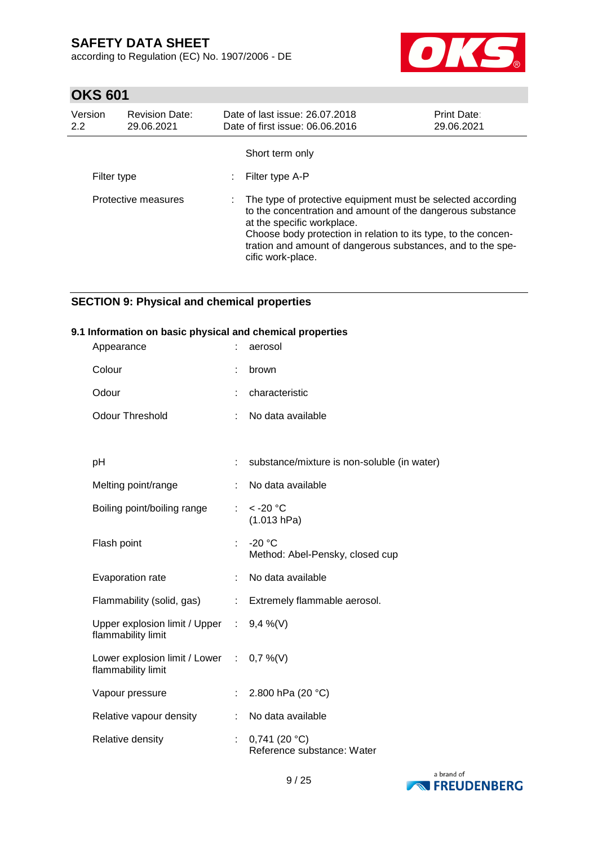according to Regulation (EC) No. 1907/2006 - DE



# **OKS 601**

| Version<br>2.2 | <b>Revision Date:</b><br>29.06.2021 | Date of last issue: 26.07.2018<br>Date of first issue: 06.06.2016                                                                                                                                                                                                                                               | <b>Print Date:</b><br>29.06.2021 |
|----------------|-------------------------------------|-----------------------------------------------------------------------------------------------------------------------------------------------------------------------------------------------------------------------------------------------------------------------------------------------------------------|----------------------------------|
|                |                                     | Short term only                                                                                                                                                                                                                                                                                                 |                                  |
| Filter type    |                                     | Filter type A-P                                                                                                                                                                                                                                                                                                 |                                  |
|                | Protective measures                 | : The type of protective equipment must be selected according<br>to the concentration and amount of the dangerous substance<br>at the specific workplace.<br>Choose body protection in relation to its type, to the concen-<br>tration and amount of dangerous substances, and to the spe-<br>cific work-place. |                                  |

### **SECTION 9: Physical and chemical properties**

### **9.1 Information on basic physical and chemical properties**

| Appearance                                                     |    | aerosol                                       |
|----------------------------------------------------------------|----|-----------------------------------------------|
| Colour                                                         |    | brown                                         |
| Odour                                                          |    | characteristic                                |
| <b>Odour Threshold</b>                                         |    | No data available                             |
|                                                                |    |                                               |
| рH                                                             | t. | substance/mixture is non-soluble (in water)   |
| Melting point/range                                            | t. | No data available                             |
| Boiling point/boiling range                                    | ÷  | $<$ -20 $^{\circ}$ C<br>(1.013 hPa)           |
| Flash point                                                    | t. | $-20 °C$<br>Method: Abel-Pensky, closed cup   |
| Evaporation rate                                               |    | No data available                             |
| Flammability (solid, gas)                                      | ÷  | Extremely flammable aerosol.                  |
| Upper explosion limit / Upper :<br>flammability limit          |    | $9,4\%$ (V)                                   |
| Lower explosion limit / Lower : 0,7 %(V)<br>flammability limit |    |                                               |
| Vapour pressure                                                |    | 2.800 hPa (20 °C)                             |
| Relative vapour density                                        | t. | No data available                             |
| Relative density                                               |    | $0,741$ (20 °C)<br>Reference substance: Water |

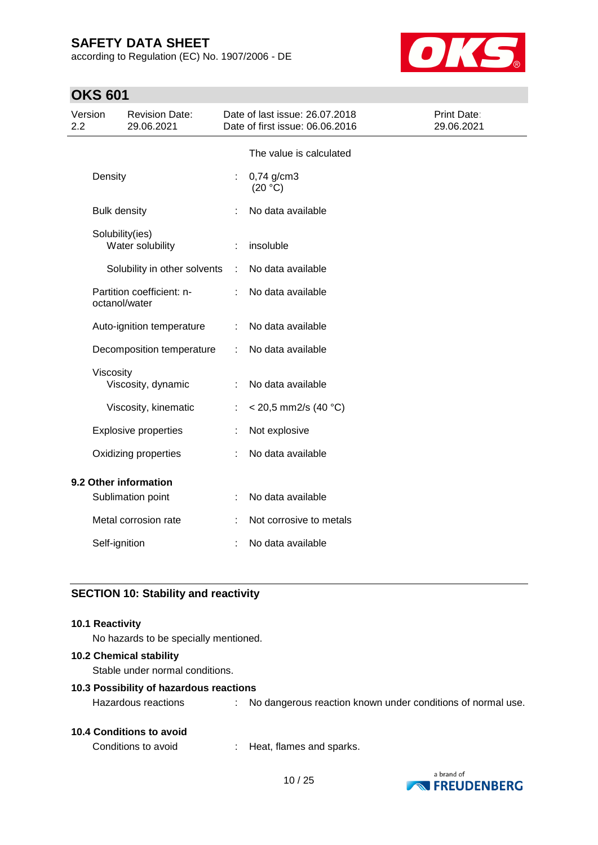according to Regulation (EC) No. 1907/2006 - DE



# **OKS 601**

| Version<br>2.2 |                     | <b>Revision Date:</b><br>29.06.2021 |   | Date of last issue: 26.07.2018<br>Date of first issue: 06.06.2016 | Print Date:<br>29.06.2021 |
|----------------|---------------------|-------------------------------------|---|-------------------------------------------------------------------|---------------------------|
|                |                     |                                     |   | The value is calculated                                           |                           |
|                | Density             |                                     |   | 0,74 g/cm3<br>(20 °C)                                             |                           |
|                | <b>Bulk density</b> |                                     |   | No data available                                                 |                           |
|                | Solubility(ies)     | Water solubility                    |   | insoluble                                                         |                           |
|                |                     | Solubility in other solvents        | ÷ | No data available                                                 |                           |
|                | octanol/water       | Partition coefficient: n-           |   | No data available                                                 |                           |
|                |                     | Auto-ignition temperature           |   | No data available                                                 |                           |
|                |                     | Decomposition temperature           | ÷ | No data available                                                 |                           |
|                | Viscosity           | Viscosity, dynamic                  | ÷ | No data available                                                 |                           |
|                |                     | Viscosity, kinematic                | t | $<$ 20,5 mm2/s (40 °C)                                            |                           |
|                |                     | <b>Explosive properties</b>         |   | Not explosive                                                     |                           |
|                |                     | Oxidizing properties                |   | No data available                                                 |                           |
|                |                     | 9.2 Other information               |   |                                                                   |                           |
|                |                     | Sublimation point                   |   | No data available                                                 |                           |
|                |                     | Metal corrosion rate                |   | Not corrosive to metals                                           |                           |
|                | Self-ignition       |                                     |   | No data available                                                 |                           |

### **SECTION 10: Stability and reactivity**

#### **10.1 Reactivity**

No hazards to be specially mentioned.

#### **10.2 Chemical stability**

Stable under normal conditions.

#### **10.3 Possibility of hazardous reactions**

Hazardous reactions : No dangerous reaction known under conditions of normal use.

### **10.4 Conditions to avoid**

Conditions to avoid : Heat, flames and sparks.

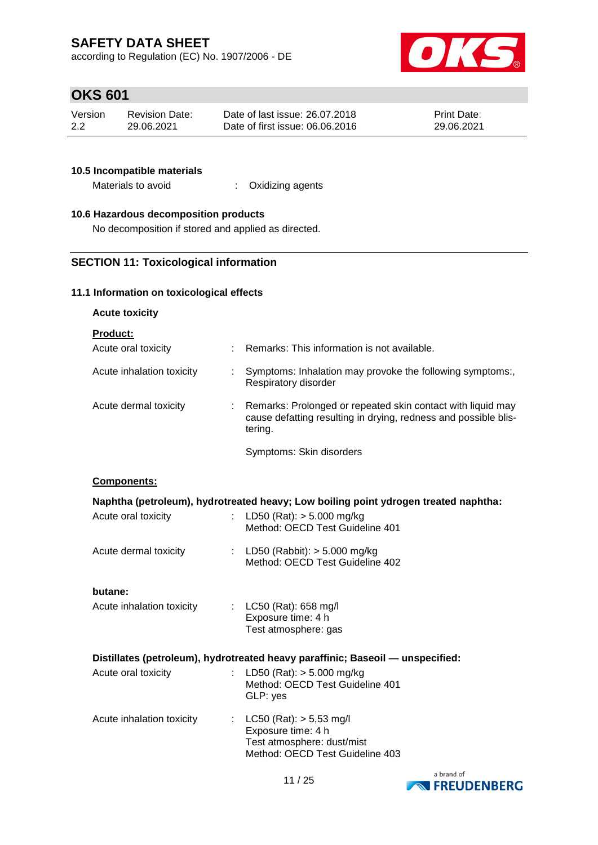according to Regulation (EC) No. 1907/2006 - DE



# **OKS 601**

| Version | <b>Revision Date:</b> | Date of last issue: 26.07.2018  | <b>Print Date:</b> |
|---------|-----------------------|---------------------------------|--------------------|
| 2.2     | 29.06.2021            | Date of first issue: 06.06.2016 | 29.06.2021         |

#### **10.5 Incompatible materials**

Materials to avoid : Oxidizing agents

### **10.6 Hazardous decomposition products**

No decomposition if stored and applied as directed.

### **SECTION 11: Toxicological information**

### **11.1 Information on toxicological effects**

| <b>Acute toxicity</b> |  |
|-----------------------|--|
|-----------------------|--|

**Product:**

| Acute oral toxicity       | Remarks: This information is not available.                                                                                               |
|---------------------------|-------------------------------------------------------------------------------------------------------------------------------------------|
| Acute inhalation toxicity | Symptoms: Inhalation may provoke the following symptoms:,<br>Respiratory disorder                                                         |
| Acute dermal toxicity     | Remarks: Prolonged or repeated skin contact with liquid may<br>cause defatting resulting in drying, redness and possible blis-<br>tering. |
|                           | Symptoms: Skin disorders                                                                                                                  |

#### **Components:**

|                                                                                |  | Naphtha (petroleum), hydrotreated heavy; Low boiling point ydrogen treated naphtha: |  |
|--------------------------------------------------------------------------------|--|-------------------------------------------------------------------------------------|--|
| Acute oral toxicity                                                            |  | : LD50 (Rat): $>$ 5.000 mg/kg<br>Method: OECD Test Guideline 401                    |  |
| Acute dermal toxicity                                                          |  | : LD50 (Rabbit): $>$ 5.000 mg/kg<br>Method: OECD Test Guideline 402                 |  |
| butane:                                                                        |  |                                                                                     |  |
| Acute inhalation toxicity                                                      |  | : $LC50$ (Rat): 658 mg/l<br>Exposure time: 4 h<br>Test atmosphere: gas              |  |
| Distillates (petroleum), hydrotreated heavy paraffinic; Baseoil - unspecified: |  |                                                                                     |  |
| Acute oral toxicity                                                            |  | : LD50 (Rat): $>$ 5.000 mg/kg<br>Method: OECD Test Guideline 401<br>GLP: yes        |  |
| Acute inhalation toxicity                                                      |  | : $LC50$ (Rat): $> 5,53$ mg/l<br>Exposure time: 4 h<br>Test atmosphere: dust/mist   |  |



Method: OECD Test Guideline 403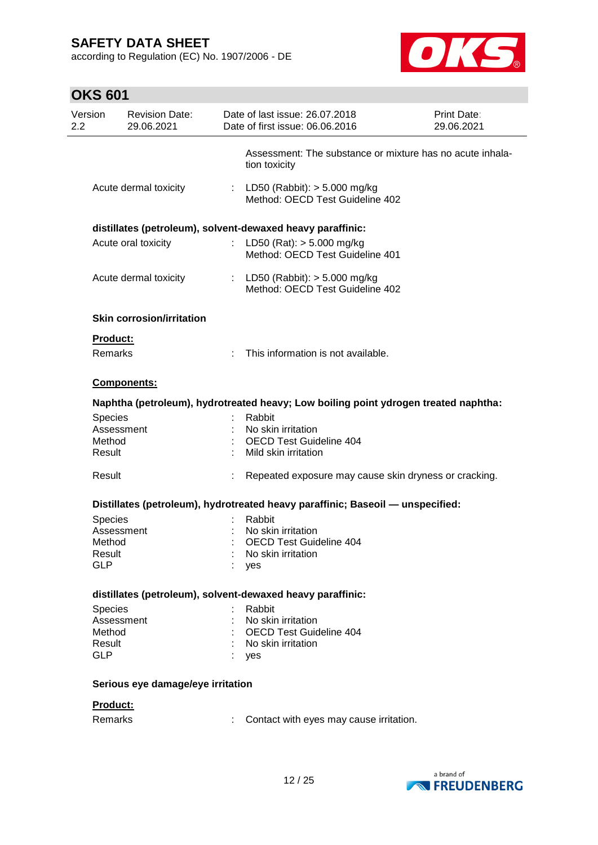according to Regulation (EC) No. 1907/2006 - DE



# **OKS 601**

| Assessment: The substance or mixture has no acute inhala-<br>tion toxicity<br>: LD50 (Rabbit): $> 5.000$ mg/kg<br>Method: OECD Test Guideline 402<br>distillates (petroleum), solvent-dewaxed heavy paraffinic:<br>LD50 (Rat): $> 5.000$ mg/kg<br>t.<br>Method: OECD Test Guideline 401<br>: LD50 (Rabbit): > 5.000 mg/kg<br>Method: OECD Test Guideline 402<br><b>Skin corrosion/irritation</b><br>÷.<br>This information is not available. |                                                                              |
|----------------------------------------------------------------------------------------------------------------------------------------------------------------------------------------------------------------------------------------------------------------------------------------------------------------------------------------------------------------------------------------------------------------------------------------------|------------------------------------------------------------------------------|
|                                                                                                                                                                                                                                                                                                                                                                                                                                              |                                                                              |
|                                                                                                                                                                                                                                                                                                                                                                                                                                              |                                                                              |
|                                                                                                                                                                                                                                                                                                                                                                                                                                              |                                                                              |
|                                                                                                                                                                                                                                                                                                                                                                                                                                              |                                                                              |
|                                                                                                                                                                                                                                                                                                                                                                                                                                              |                                                                              |
|                                                                                                                                                                                                                                                                                                                                                                                                                                              |                                                                              |
|                                                                                                                                                                                                                                                                                                                                                                                                                                              |                                                                              |
|                                                                                                                                                                                                                                                                                                                                                                                                                                              |                                                                              |
|                                                                                                                                                                                                                                                                                                                                                                                                                                              |                                                                              |
| Naphtha (petroleum), hydrotreated heavy; Low boiling point ydrogen treated naphtha:                                                                                                                                                                                                                                                                                                                                                          |                                                                              |
| Rabbit                                                                                                                                                                                                                                                                                                                                                                                                                                       |                                                                              |
| No skin irritation                                                                                                                                                                                                                                                                                                                                                                                                                           |                                                                              |
| <b>OECD Test Guideline 404</b>                                                                                                                                                                                                                                                                                                                                                                                                               |                                                                              |
| Mild skin irritation                                                                                                                                                                                                                                                                                                                                                                                                                         |                                                                              |
| Repeated exposure may cause skin dryness or cracking.                                                                                                                                                                                                                                                                                                                                                                                        |                                                                              |
| Distillates (petroleum), hydrotreated heavy paraffinic; Baseoil — unspecified:                                                                                                                                                                                                                                                                                                                                                               |                                                                              |
| Rabbit                                                                                                                                                                                                                                                                                                                                                                                                                                       |                                                                              |
| No skin irritation                                                                                                                                                                                                                                                                                                                                                                                                                           |                                                                              |
| <b>OECD Test Guideline 404</b>                                                                                                                                                                                                                                                                                                                                                                                                               |                                                                              |
| No skin irritation                                                                                                                                                                                                                                                                                                                                                                                                                           |                                                                              |
| yes                                                                                                                                                                                                                                                                                                                                                                                                                                          |                                                                              |
| distillates (petroleum), solvent-dewaxed heavy paraffinic:                                                                                                                                                                                                                                                                                                                                                                                   |                                                                              |
| Rabbit                                                                                                                                                                                                                                                                                                                                                                                                                                       |                                                                              |
| No skin irritation                                                                                                                                                                                                                                                                                                                                                                                                                           |                                                                              |
| <b>OECD Test Guideline 404</b>                                                                                                                                                                                                                                                                                                                                                                                                               |                                                                              |
| No skin irritation                                                                                                                                                                                                                                                                                                                                                                                                                           |                                                                              |
| yes                                                                                                                                                                                                                                                                                                                                                                                                                                          |                                                                              |
|                                                                                                                                                                                                                                                                                                                                                                                                                                              |                                                                              |
|                                                                                                                                                                                                                                                                                                                                                                                                                                              |                                                                              |
|                                                                                                                                                                                                                                                                                                                                                                                                                                              |                                                                              |
|                                                                                                                                                                                                                                                                                                                                                                                                                                              | Serious eye damage/eye irritation<br>Contact with eyes may cause irritation. |

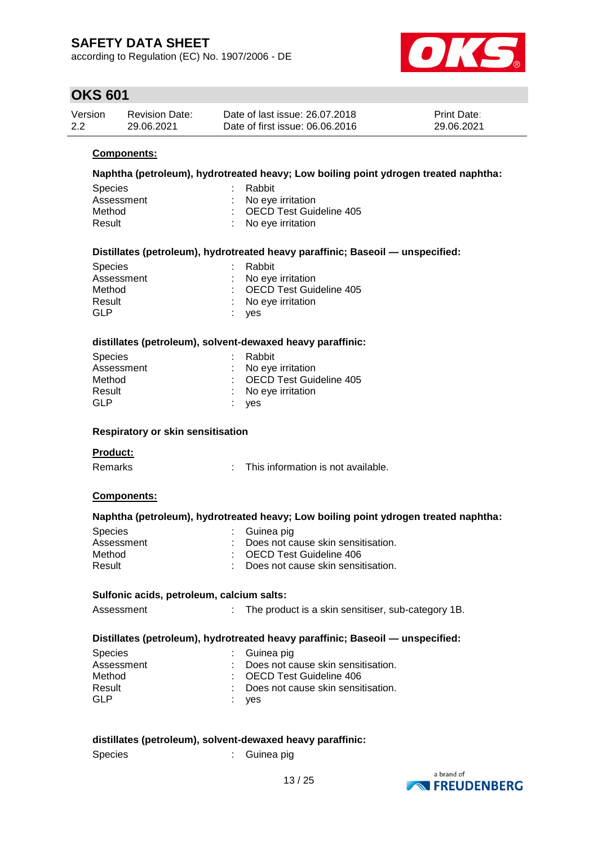according to Regulation (EC) No. 1907/2006 - DE



### **OKS 601**

| Version | <b>Revision Date:</b> | Date of last issue: 26.07.2018  | <b>Print Date:</b> |
|---------|-----------------------|---------------------------------|--------------------|
| 2.2     | 29.06.2021            | Date of first issue: 06,06,2016 | 29.06.2021         |

#### **Components:**

#### **Naphtha (petroleum), hydrotreated heavy; Low boiling point ydrogen treated naphtha:**

| Species    | : Rabbit                  |  |
|------------|---------------------------|--|
| Assessment | : No eye irritation       |  |
| Method     | : OECD Test Guideline 405 |  |
| Result     | : No eye irritation       |  |
|            |                           |  |

#### **Distillates (petroleum), hydrotreated heavy paraffinic; Baseoil — unspecified:**

| <b>Species</b> | : Rabbit                  |
|----------------|---------------------------|
| Assessment     | : No eye irritation       |
| Method         | : OECD Test Guideline 405 |
| Result         | : No eye irritation       |
| GLP            | $:$ ves                   |

#### **distillates (petroleum), solvent-dewaxed heavy paraffinic:**

| <b>Species</b> | : Rabbit                       |
|----------------|--------------------------------|
| Assessment     | $\therefore$ No eye irritation |
| Method         | : OECD Test Guideline 405      |
| Result         | $\therefore$ No eye irritation |
| GI P           | $:$ ves                        |

#### **Respiratory or skin sensitisation**

#### **Product:**

Remarks : This information is not available.

#### **Components:**

#### **Naphtha (petroleum), hydrotreated heavy; Low boiling point ydrogen treated naphtha:**

| <b>Species</b> | : Guinea pig                                    |
|----------------|-------------------------------------------------|
| Assessment     | : Does not cause skin sensitisation.            |
| Method         | : OECD Test Guideline 406                       |
| Result         | $\therefore$ Does not cause skin sensitisation. |

#### **Sulfonic acids, petroleum, calcium salts:**

Assessment : The product is a skin sensitiser, sub-category 1B.

#### **Distillates (petroleum), hydrotreated heavy paraffinic; Baseoil — unspecified:**

| <b>Species</b> | $\therefore$ Guinea pig              |
|----------------|--------------------------------------|
| Assessment     | : Does not cause skin sensitisation. |
| Method         | : OECD Test Guideline 406            |
| Result         | : Does not cause skin sensitisation. |
| GLP            | : yes                                |

#### **distillates (petroleum), solvent-dewaxed heavy paraffinic:**

Species : Guinea pig

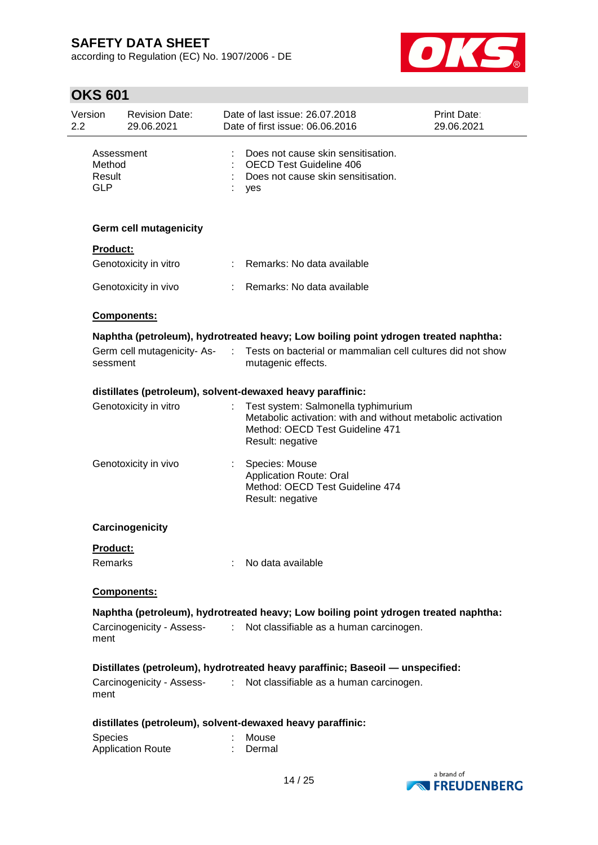according to Regulation (EC) No. 1907/2006 - DE



# **OKS 601**

| Version<br>2.2  | <b>Revision Date:</b><br>29.06.2021 |    | Date of last issue: 26.07.2018<br>Date of first issue: 06.06.2016                                                                                         | Print Date:<br>29.06.2021 |
|-----------------|-------------------------------------|----|-----------------------------------------------------------------------------------------------------------------------------------------------------------|---------------------------|
| <b>GLP</b>      | Assessment<br>Method<br>Result      |    | Does not cause skin sensitisation.<br><b>OECD Test Guideline 406</b><br>Does not cause skin sensitisation.<br>yes                                         |                           |
|                 | <b>Germ cell mutagenicity</b>       |    |                                                                                                                                                           |                           |
| <b>Product:</b> |                                     |    |                                                                                                                                                           |                           |
|                 | Genotoxicity in vitro               | t. | Remarks: No data available                                                                                                                                |                           |
|                 | Genotoxicity in vivo                |    | Remarks: No data available                                                                                                                                |                           |
|                 | <b>Components:</b>                  |    |                                                                                                                                                           |                           |
|                 |                                     |    | Naphtha (petroleum), hydrotreated heavy; Low boiling point ydrogen treated naphtha:                                                                       |                           |
| sessment        | Germ cell mutagenicity-As- :        |    | Tests on bacterial or mammalian cell cultures did not show<br>mutagenic effects.                                                                          |                           |
|                 |                                     |    | distillates (petroleum), solvent-dewaxed heavy paraffinic:                                                                                                |                           |
|                 | Genotoxicity in vitro               |    | Test system: Salmonella typhimurium<br>Metabolic activation: with and without metabolic activation<br>Method: OECD Test Guideline 471<br>Result: negative |                           |
|                 | Genotoxicity in vivo                |    | Species: Mouse<br><b>Application Route: Oral</b><br>Method: OECD Test Guideline 474<br>Result: negative                                                   |                           |
|                 | Carcinogenicity                     |    |                                                                                                                                                           |                           |
| <b>Product:</b> |                                     |    |                                                                                                                                                           |                           |
| <b>Remarks</b>  |                                     |    | No data available                                                                                                                                         |                           |
|                 | Components:                         |    |                                                                                                                                                           |                           |
|                 |                                     |    | Naphtha (petroleum), hydrotreated heavy; Low boiling point ydrogen treated naphtha:                                                                       |                           |
| ment            | Carcinogenicity - Assess-           | ÷  | Not classifiable as a human carcinogen.                                                                                                                   |                           |
|                 |                                     |    | Distillates (petroleum), hydrotreated heavy paraffinic; Baseoil — unspecified:                                                                            |                           |
| ment            | Carcinogenicity - Assess-           | ÷. | Not classifiable as a human carcinogen.                                                                                                                   |                           |
|                 |                                     |    | distillates (petroleum), solvent-dewaxed heavy paraffinic:                                                                                                |                           |
| Species         | <b>Application Route</b>            |    | Mouse<br>Dermal                                                                                                                                           |                           |

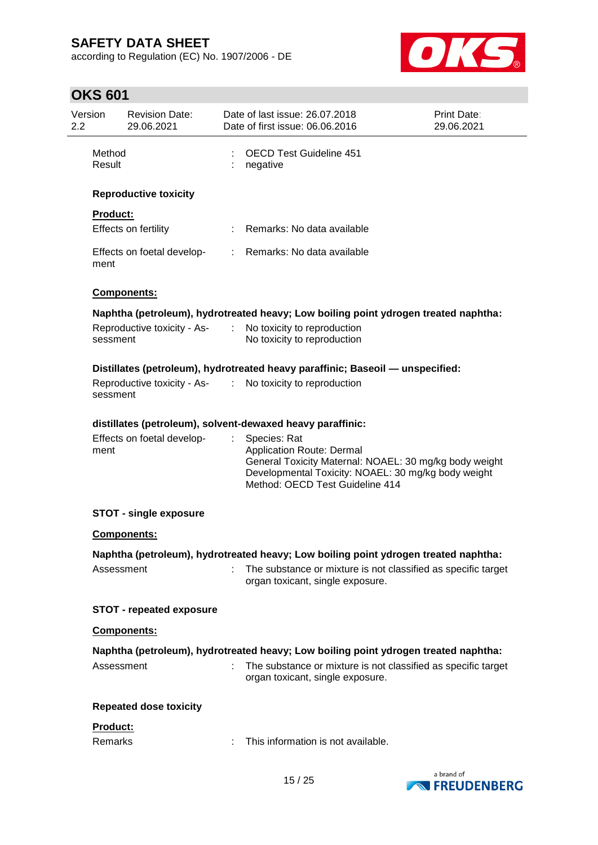according to Regulation (EC) No. 1907/2006 - DE



# **OKS 601**

| 2.2 | Version          | <b>Revision Date:</b><br>29.06.2021 |                               | Date of last issue: 26.07.2018<br>Date of first issue: 06.06.2016                                                                                                                                    | <b>Print Date:</b><br>29.06.2021 |
|-----|------------------|-------------------------------------|-------------------------------|------------------------------------------------------------------------------------------------------------------------------------------------------------------------------------------------------|----------------------------------|
|     | Method<br>Result |                                     |                               | <b>OECD Test Guideline 451</b><br>negative                                                                                                                                                           |                                  |
|     |                  | <b>Reproductive toxicity</b>        |                               |                                                                                                                                                                                                      |                                  |
|     | <b>Product:</b>  |                                     |                               |                                                                                                                                                                                                      |                                  |
|     |                  | Effects on fertility                |                               | Remarks: No data available                                                                                                                                                                           |                                  |
|     | ment             | Effects on foetal develop-          |                               | : Remarks: No data available                                                                                                                                                                         |                                  |
|     |                  | Components:                         |                               |                                                                                                                                                                                                      |                                  |
|     |                  |                                     |                               | Naphtha (petroleum), hydrotreated heavy; Low boiling point ydrogen treated naphtha:                                                                                                                  |                                  |
|     | sessment         | Reproductive toxicity - As-         | $\mathcal{I}^{\mathcal{I}}$ . | No toxicity to reproduction<br>No toxicity to reproduction                                                                                                                                           |                                  |
|     |                  |                                     |                               | Distillates (petroleum), hydrotreated heavy paraffinic; Baseoil - unspecified:                                                                                                                       |                                  |
|     | sessment         | Reproductive toxicity - As- :       |                               | No toxicity to reproduction                                                                                                                                                                          |                                  |
|     |                  |                                     |                               | distillates (petroleum), solvent-dewaxed heavy paraffinic:                                                                                                                                           |                                  |
|     | ment             | Effects on foetal develop-          |                               | Species: Rat<br><b>Application Route: Dermal</b><br>General Toxicity Maternal: NOAEL: 30 mg/kg body weight<br>Developmental Toxicity: NOAEL: 30 mg/kg body weight<br>Method: OECD Test Guideline 414 |                                  |
|     |                  | <b>STOT - single exposure</b>       |                               |                                                                                                                                                                                                      |                                  |
|     |                  | <b>Components:</b>                  |                               |                                                                                                                                                                                                      |                                  |
|     |                  |                                     |                               | Naphtha (petroleum), hydrotreated heavy; Low boiling point ydrogen treated naphtha:                                                                                                                  |                                  |
|     |                  | Assessment                          |                               | : The substance or mixture is not classified as specific target<br>organ toxicant, single exposure.                                                                                                  |                                  |
|     |                  | <b>STOT - repeated exposure</b>     |                               |                                                                                                                                                                                                      |                                  |
|     |                  | <b>Components:</b>                  |                               |                                                                                                                                                                                                      |                                  |
|     |                  |                                     |                               | Naphtha (petroleum), hydrotreated heavy; Low boiling point ydrogen treated naphtha:                                                                                                                  |                                  |
|     |                  | Assessment                          | $\sim$                        | The substance or mixture is not classified as specific target<br>organ toxicant, single exposure.                                                                                                    |                                  |
|     |                  | <b>Repeated dose toxicity</b>       |                               |                                                                                                                                                                                                      |                                  |
|     | Product:         |                                     |                               |                                                                                                                                                                                                      |                                  |
|     | Remarks          |                                     |                               | This information is not available.                                                                                                                                                                   |                                  |
|     |                  |                                     |                               | 4 E 1 O.E                                                                                                                                                                                            | a brand of                       |

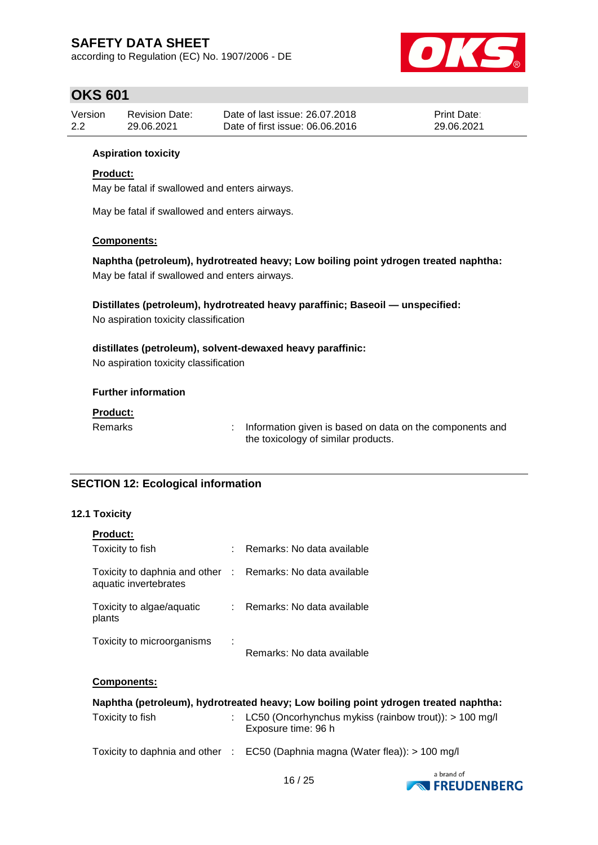according to Regulation (EC) No. 1907/2006 - DE



### **OKS 601**

| Version | <b>Revision Date:</b> | Date of last issue: 26.07.2018  | <b>Print Date:</b> |
|---------|-----------------------|---------------------------------|--------------------|
| 2.2     | 29.06.2021            | Date of first issue: 06,06,2016 | 29.06.2021         |

#### **Aspiration toxicity**

### **Product:**

May be fatal if swallowed and enters airways.

May be fatal if swallowed and enters airways.

#### **Components:**

**Naphtha (petroleum), hydrotreated heavy; Low boiling point ydrogen treated naphtha:** May be fatal if swallowed and enters airways.

**Distillates (petroleum), hydrotreated heavy paraffinic; Baseoil — unspecified:** No aspiration toxicity classification

**distillates (petroleum), solvent-dewaxed heavy paraffinic:** No aspiration toxicity classification

#### **Further information**

#### **Product:**

Remarks : Information given is based on data on the components and the toxicology of similar products.

### **SECTION 12: Ecological information**

#### **12.1 Toxicity**

| <b>Product:</b>                                                                     |    |                            |
|-------------------------------------------------------------------------------------|----|----------------------------|
| Toxicity to fish                                                                    | ÷  | Remarks: No data available |
| Toxicity to daphnia and other : Remarks: No data available<br>aquatic invertebrates |    |                            |
| Toxicity to algae/aquatic<br>plants                                                 | ÷. | Remarks: No data available |
| Toxicity to microorganisms                                                          | ÷  | Remarks: No data available |

### **Components:**

| Naphtha (petroleum), hydrotreated heavy; Low boiling point ydrogen treated naphtha: |  |                                                                                   |  |  |  |  |
|-------------------------------------------------------------------------------------|--|-----------------------------------------------------------------------------------|--|--|--|--|
| Toxicity to fish                                                                    |  | : LC50 (Oncorhynchus mykiss (rainbow trout)): $> 100$ mg/l<br>Exposure time: 96 h |  |  |  |  |
|                                                                                     |  | Toxicity to daphnia and other : EC50 (Daphnia magna (Water flea)): > 100 mg/l     |  |  |  |  |

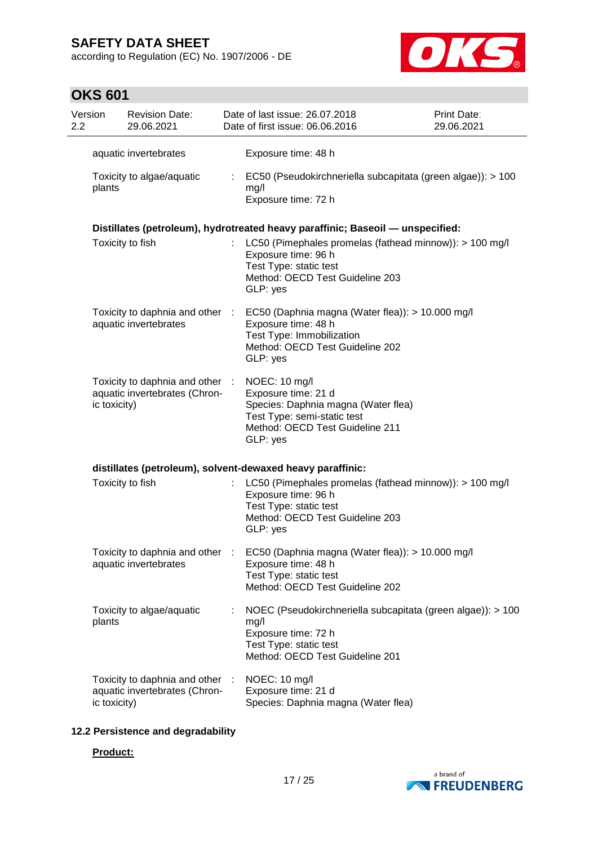according to Regulation (EC) No. 1907/2006 - DE



# **OKS 601**

| Version<br>2.2 |              | <b>Revision Date:</b><br>29.06.2021                              |    | Date of last issue: 26.07.2018<br>Date of first issue: 06.06.2016                                                                                                                   | Print Date:<br>29.06.2021 |
|----------------|--------------|------------------------------------------------------------------|----|-------------------------------------------------------------------------------------------------------------------------------------------------------------------------------------|---------------------------|
|                |              | aquatic invertebrates                                            |    | Exposure time: 48 h                                                                                                                                                                 |                           |
|                | plants       | Toxicity to algae/aquatic                                        | ÷. | EC50 (Pseudokirchneriella subcapitata (green algae)): > 100<br>mg/l<br>Exposure time: 72 h                                                                                          |                           |
|                |              |                                                                  |    | Distillates (petroleum), hydrotreated heavy paraffinic; Baseoil - unspecified:                                                                                                      |                           |
|                |              | Toxicity to fish                                                 |    | LC50 (Pimephales promelas (fathead minnow)): > 100 mg/l<br>Exposure time: 96 h<br>Test Type: static test<br>Method: OECD Test Guideline 203<br>GLP: yes                             |                           |
|                |              | aquatic invertebrates                                            |    | Toxicity to daphnia and other : EC50 (Daphnia magna (Water flea)): > 10.000 mg/l<br>Exposure time: 48 h<br>Test Type: Immobilization<br>Method: OECD Test Guideline 202<br>GLP: yes |                           |
|                | ic toxicity) | Toxicity to daphnia and other :<br>aquatic invertebrates (Chron- |    | NOEC: 10 mg/l<br>Exposure time: 21 d<br>Species: Daphnia magna (Water flea)<br>Test Type: semi-static test<br>Method: OECD Test Guideline 211<br>GLP: yes                           |                           |
|                |              |                                                                  |    | distillates (petroleum), solvent-dewaxed heavy paraffinic:                                                                                                                          |                           |
|                |              | Toxicity to fish                                                 |    | LC50 (Pimephales promelas (fathead minnow)): > 100 mg/l<br>Exposure time: 96 h<br>Test Type: static test<br>Method: OECD Test Guideline 203<br>GLP: yes                             |                           |
|                |              | Toxicity to daphnia and other :<br>aquatic invertebrates         |    | EC50 (Daphnia magna (Water flea)): > 10.000 mg/l<br>Exposure time: 48 h<br>Test Type: static test<br>Method: OECD Test Guideline 202                                                |                           |
|                | plants       | Toxicity to algae/aquatic                                        |    | NOEC (Pseudokirchneriella subcapitata (green algae)): > 100<br>mg/l<br>Exposure time: 72 h<br>Test Type: static test<br>Method: OECD Test Guideline 201                             |                           |
|                | ic toxicity) | Toxicity to daphnia and other :<br>aquatic invertebrates (Chron- |    | NOEC: 10 mg/l<br>Exposure time: 21 d<br>Species: Daphnia magna (Water flea)                                                                                                         |                           |

### **12.2 Persistence and degradability**

#### **Product:**

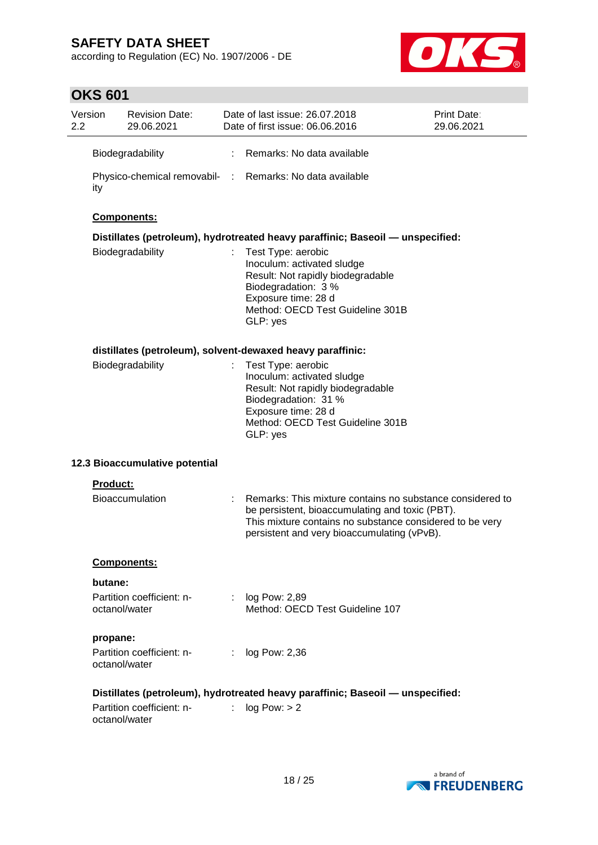according to Regulation (EC) No. 1907/2006 - DE



# **OKS 601**

| Version<br>2.2 |                 | <b>Revision Date:</b><br>29.06.2021 |    | Date of last issue: 26.07.2018<br>Date of first issue: 06.06.2016                                                                                                                                                       | Print Date:<br>29.06.2021 |
|----------------|-----------------|-------------------------------------|----|-------------------------------------------------------------------------------------------------------------------------------------------------------------------------------------------------------------------------|---------------------------|
|                |                 | Biodegradability                    | ÷  | Remarks: No data available                                                                                                                                                                                              |                           |
|                | ity             |                                     |    | Physico-chemical removabil- : Remarks: No data available                                                                                                                                                                |                           |
|                |                 | Components:                         |    |                                                                                                                                                                                                                         |                           |
|                |                 |                                     |    | Distillates (petroleum), hydrotreated heavy paraffinic; Baseoil — unspecified:                                                                                                                                          |                           |
|                |                 | Biodegradability                    |    | Test Type: aerobic<br>Inoculum: activated sludge<br>Result: Not rapidly biodegradable<br>Biodegradation: 3 %<br>Exposure time: 28 d<br>Method: OECD Test Guideline 301B<br>GLP: yes                                     |                           |
|                |                 |                                     |    | distillates (petroleum), solvent-dewaxed heavy paraffinic:                                                                                                                                                              |                           |
|                |                 | Biodegradability                    |    | Test Type: aerobic<br>Inoculum: activated sludge<br>Result: Not rapidly biodegradable<br>Biodegradation: 31 %<br>Exposure time: 28 d<br>Method: OECD Test Guideline 301B<br>GLP: yes                                    |                           |
|                |                 | 12.3 Bioaccumulative potential      |    |                                                                                                                                                                                                                         |                           |
|                | <b>Product:</b> |                                     |    |                                                                                                                                                                                                                         |                           |
|                |                 | <b>Bioaccumulation</b>              |    | Remarks: This mixture contains no substance considered to<br>be persistent, bioaccumulating and toxic (PBT).<br>This mixture contains no substance considered to be very<br>persistent and very bioaccumulating (vPvB). |                           |
|                |                 | <b>Components:</b>                  |    |                                                                                                                                                                                                                         |                           |
|                | butane:         |                                     |    |                                                                                                                                                                                                                         |                           |
|                | octanol/water   | Partition coefficient: n-           |    | : $log Pow: 2,89$<br>Method: OECD Test Guideline 107                                                                                                                                                                    |                           |
|                | propane:        |                                     |    |                                                                                                                                                                                                                         |                           |
|                | octanol/water   | Partition coefficient: n-           |    | : log Pow: 2,36                                                                                                                                                                                                         |                           |
|                |                 |                                     |    | Distillates (petroleum), hydrotreated heavy paraffinic; Baseoil - unspecified:                                                                                                                                          |                           |
|                | octanol/water   | Partition coefficient: n-           | t. | log Pow: > 2                                                                                                                                                                                                            |                           |

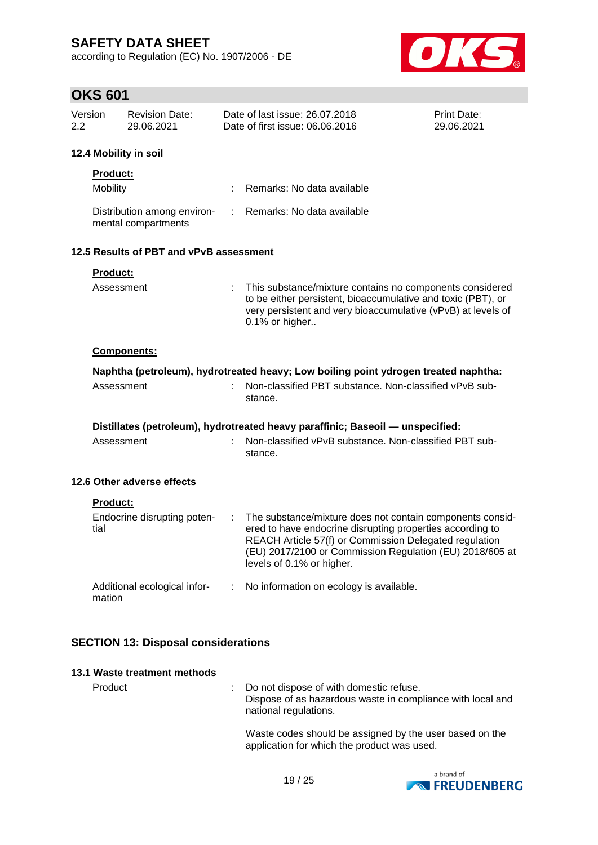according to Regulation (EC) No. 1907/2006 - DE



# **OKS 601**

| Version<br>2.2 |                             | <b>Revision Date:</b><br>29.06.2021                |   | Date of last issue: 26.07.2018<br>Date of first issue: 06.06.2016                                                                                                                                            | <b>Print Date:</b><br>29.06.2021 |
|----------------|-----------------------------|----------------------------------------------------|---|--------------------------------------------------------------------------------------------------------------------------------------------------------------------------------------------------------------|----------------------------------|
|                |                             | 12.4 Mobility in soil                              |   |                                                                                                                                                                                                              |                                  |
|                | <b>Product:</b><br>Mobility |                                                    |   | Remarks: No data available                                                                                                                                                                                   |                                  |
|                |                             | Distribution among environ-<br>mental compartments | ÷ | Remarks: No data available                                                                                                                                                                                   |                                  |
|                |                             | 12.5 Results of PBT and vPvB assessment            |   |                                                                                                                                                                                                              |                                  |
|                | Product:<br>Assessment      |                                                    |   | This substance/mixture contains no components considered<br>to be either persistent, bioaccumulative and toxic (PBT), or<br>very persistent and very bioaccumulative (vPvB) at levels of<br>0.1% or higher   |                                  |
|                |                             | Components:                                        |   |                                                                                                                                                                                                              |                                  |
|                |                             |                                                    |   | Naphtha (petroleum), hydrotreated heavy; Low boiling point ydrogen treated naphtha:                                                                                                                          |                                  |
|                | Assessment                  |                                                    |   | Non-classified PBT substance. Non-classified vPvB sub-<br>stance.                                                                                                                                            |                                  |
|                | Assessment                  |                                                    |   | Distillates (petroleum), hydrotreated heavy paraffinic; Baseoil — unspecified:<br>Non-classified vPvB substance. Non-classified PBT sub-<br>stance.                                                          |                                  |
|                |                             | 12.6 Other adverse effects                         |   |                                                                                                                                                                                                              |                                  |
|                | <b>Product:</b>             | Endocrine disrupting poten-                        | ÷ | The substance/mixture does not contain components consid-                                                                                                                                                    |                                  |
|                | tial                        |                                                    |   | ered to have endocrine disrupting properties according to<br>REACH Article 57(f) or Commission Delegated regulation<br>(EU) 2017/2100 or Commission Regulation (EU) 2018/605 at<br>levels of 0.1% or higher. |                                  |
|                | mation                      | Additional ecological infor-                       | ÷ | No information on ecology is available.                                                                                                                                                                      |                                  |
|                |                             |                                                    |   |                                                                                                                                                                                                              |                                  |

### **SECTION 13: Disposal considerations**

| 13.1 Waste treatment methods |                                                                                                                                  |
|------------------------------|----------------------------------------------------------------------------------------------------------------------------------|
| Product                      | : Do not dispose of with domestic refuse.<br>Dispose of as hazardous waste in compliance with local and<br>national regulations. |
|                              | Waste codes should be assigned by the user based on the<br>application for which the product was used.                           |

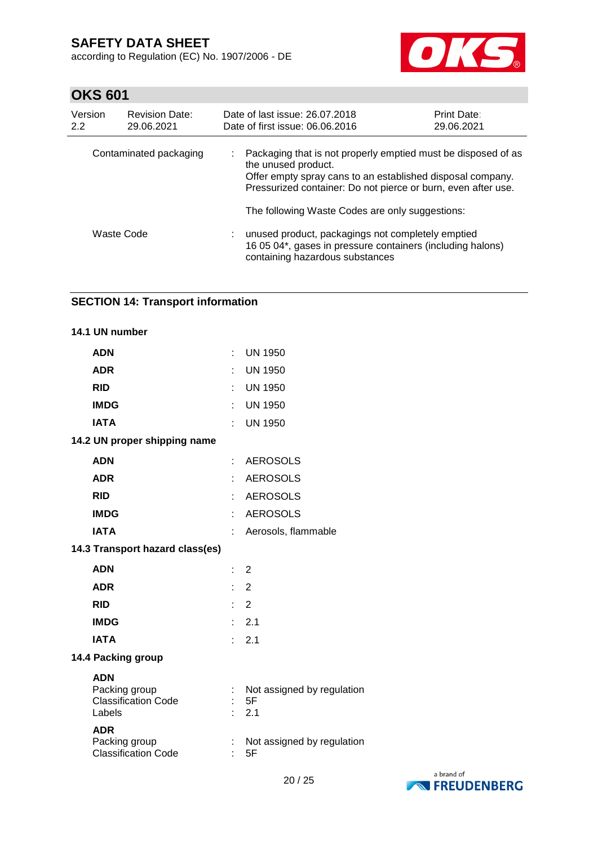according to Regulation (EC) No. 1907/2006 - DE



# **OKS 601**

| Version<br>2.2 | <b>Revision Date:</b><br>29.06.2021 | Date of last issue: 26.07.2018<br>Date of first issue: 06.06.2016                                                                                                                                                   | <b>Print Date:</b><br>29.06.2021 |
|----------------|-------------------------------------|---------------------------------------------------------------------------------------------------------------------------------------------------------------------------------------------------------------------|----------------------------------|
|                | Contaminated packaging              | Packaging that is not properly emptied must be disposed of as<br>the unused product.<br>Offer empty spray cans to an established disposal company.<br>Pressurized container: Do not pierce or burn, even after use. |                                  |
|                |                                     | The following Waste Codes are only suggestions:                                                                                                                                                                     |                                  |
|                | Waste Code                          | unused product, packagings not completely emptied<br>16 05 04*, gases in pressure containers (including halons)<br>containing hazardous substances                                                                  |                                  |

### **SECTION 14: Transport information**

|            | 14.1 UN number                                        |    |                                         |
|------------|-------------------------------------------------------|----|-----------------------------------------|
| <b>ADN</b> |                                                       | ÷  | <b>UN 1950</b>                          |
| <b>ADR</b> |                                                       | t  | <b>UN 1950</b>                          |
| <b>RID</b> |                                                       | t  | <b>UN 1950</b>                          |
|            | <b>IMDG</b>                                           | t  | <b>UN 1950</b>                          |
|            | <b>IATA</b>                                           |    | <b>UN 1950</b>                          |
|            | 14.2 UN proper shipping name                          |    |                                         |
| <b>ADN</b> |                                                       | ÷  | <b>AEROSOLS</b>                         |
| <b>ADR</b> |                                                       |    | <b>AEROSOLS</b>                         |
| <b>RID</b> |                                                       |    | <b>AEROSOLS</b>                         |
|            | <b>IMDG</b>                                           | t  | <b>AEROSOLS</b>                         |
|            | <b>IATA</b>                                           |    | Aerosols, flammable                     |
|            | 14.3 Transport hazard class(es)                       |    |                                         |
| <b>ADN</b> |                                                       | t. | 2                                       |
| <b>ADR</b> |                                                       | t. | $\overline{2}$                          |
| <b>RID</b> |                                                       | ÷. | $\overline{2}$                          |
|            | <b>IMDG</b>                                           | ٠. | 2.1                                     |
|            | <b>IATA</b>                                           | ۰  | 2.1                                     |
|            | 14.4 Packing group                                    |    |                                         |
| <b>ADN</b> | Packing group<br><b>Classification Code</b><br>Labels | ÷  | Not assigned by regulation<br>5F<br>2.1 |
| <b>ADR</b> | Packing group<br><b>Classification Code</b>           |    | Not assigned by regulation<br>5F        |

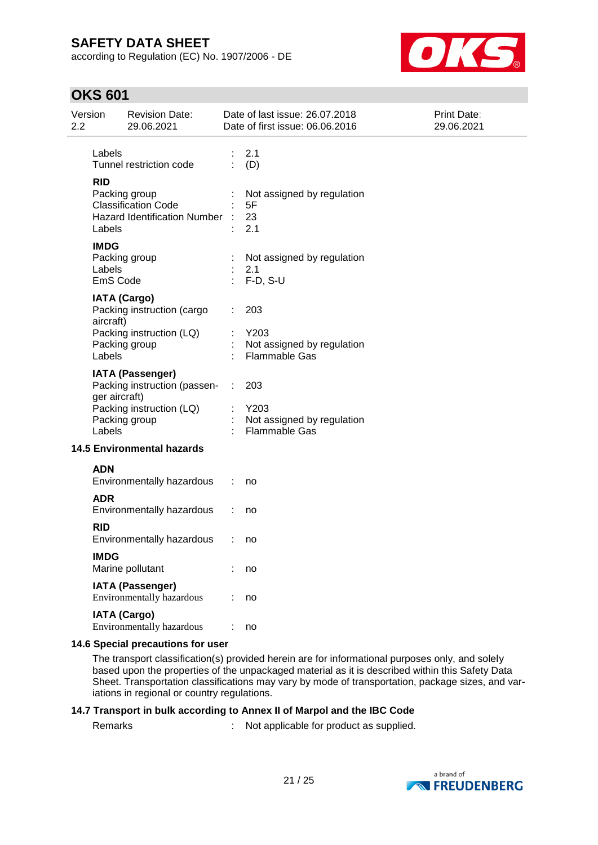according to Regulation (EC) No. 1907/2006 - DE



### **OKS 601**

| Version<br>2.2                    |                                                                                                            | <b>Revision Date:</b><br>29.06.2021                                                                  |               | Date of last issue: 26.07.2018<br>Date of first issue: 06.06.2016 | Print Date:<br>29.06.2021 |
|-----------------------------------|------------------------------------------------------------------------------------------------------------|------------------------------------------------------------------------------------------------------|---------------|-------------------------------------------------------------------|---------------------------|
|                                   | Labels                                                                                                     | Tunnel restriction code                                                                              |               | 2.1<br>(D)                                                        |                           |
|                                   | <b>RID</b><br>Packing group<br><b>Classification Code</b><br><b>Hazard Identification Number</b><br>Labels |                                                                                                      |               | Not assigned by regulation<br>5F<br>23<br>2.1                     |                           |
|                                   | <b>IMDG</b><br>Labels<br>EmS Code                                                                          | Packing group                                                                                        |               | Not assigned by regulation<br>2.1<br>$F-D, S-U$                   |                           |
|                                   | aircraft)                                                                                                  | <b>IATA (Cargo)</b><br>Packing instruction (cargo                                                    |               | 203<br>Y203                                                       |                           |
|                                   | Labels                                                                                                     | Packing instruction (LQ)<br>Packing group                                                            |               | Not assigned by regulation<br><b>Flammable Gas</b>                |                           |
|                                   | ger aircraft)<br>Labels                                                                                    | <b>IATA (Passenger)</b><br>Packing instruction (passen-<br>Packing instruction (LQ)<br>Packing group | $\mathcal{L}$ | 203<br>Y203<br>Not assigned by regulation<br><b>Flammable Gas</b> |                           |
| <b>14.5 Environmental hazards</b> |                                                                                                            |                                                                                                      |               |                                                                   |                           |
|                                   | <b>ADN</b>                                                                                                 | Environmentally hazardous                                                                            | ÷             | no                                                                |                           |
|                                   | <b>ADR</b>                                                                                                 | Environmentally hazardous                                                                            |               | no                                                                |                           |
|                                   | <b>RID</b>                                                                                                 | Environmentally hazardous                                                                            |               | no                                                                |                           |
|                                   | <b>IMDG</b>                                                                                                | Marine pollutant                                                                                     |               | no                                                                |                           |
|                                   |                                                                                                            | <b>IATA (Passenger)</b><br><b>Environmentally hazardous</b>                                          |               | no                                                                |                           |
|                                   |                                                                                                            | <b>IATA (Cargo)</b><br>Environmentally hazardous                                                     |               | no                                                                |                           |
|                                   |                                                                                                            |                                                                                                      |               |                                                                   |                           |

#### **14.6 Special precautions for user**

The transport classification(s) provided herein are for informational purposes only, and solely based upon the properties of the unpackaged material as it is described within this Safety Data Sheet. Transportation classifications may vary by mode of transportation, package sizes, and variations in regional or country regulations.

#### **14.7 Transport in bulk according to Annex II of Marpol and the IBC Code**

Remarks : Not applicable for product as supplied.

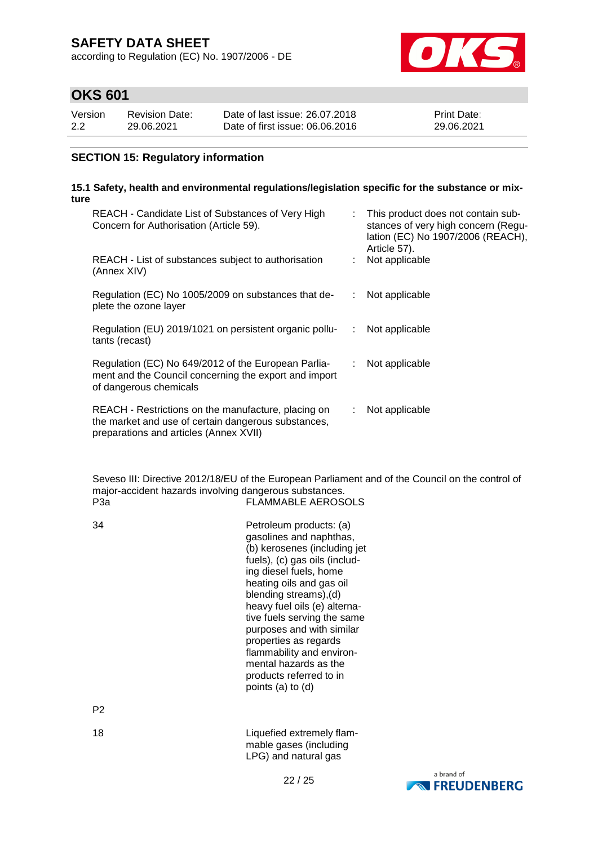according to Regulation (EC) No. 1907/2006 - DE



### **OKS 601**

| Version | <b>Revision Date:</b> | Date of last issue: 26.07.2018  | <b>Print Date:</b> |
|---------|-----------------------|---------------------------------|--------------------|
| 2.2     | 29.06.2021            | Date of first issue: 06,06,2016 | 29.06.2021         |

### **SECTION 15: Regulatory information**

#### **15.1 Safety, health and environmental regulations/legislation specific for the substance or mixture**

| REACH - Candidate List of Substances of Very High<br>Concern for Authorisation (Article 59).                                                         |    | This product does not contain sub-<br>stances of very high concern (Regu-<br>lation (EC) No 1907/2006 (REACH),<br>Article 57). |
|------------------------------------------------------------------------------------------------------------------------------------------------------|----|--------------------------------------------------------------------------------------------------------------------------------|
| REACH - List of substances subject to authorisation<br>(Annex XIV)                                                                                   |    | Not applicable                                                                                                                 |
| Regulation (EC) No 1005/2009 on substances that de-<br>plete the ozone layer                                                                         |    | Not applicable                                                                                                                 |
| Regulation (EU) 2019/1021 on persistent organic pollu-<br>tants (recast)                                                                             | ÷. | Not applicable                                                                                                                 |
| Regulation (EC) No 649/2012 of the European Parlia-<br>ment and the Council concerning the export and import<br>of dangerous chemicals               | t. | Not applicable                                                                                                                 |
| REACH - Restrictions on the manufacture, placing on<br>the market and use of certain dangerous substances,<br>preparations and articles (Annex XVII) | t. | Not applicable                                                                                                                 |

Seveso III: Directive 2012/18/EU of the European Parliament and of the Council on the control of major-accident hazards involving dangerous substances.<br>FLAMMABLE AEROS FLAMMABLE AEROSOLS

34 Petroleum products: (a) gasolines and naphthas, (b) kerosenes (including jet fuels), (c) gas oils (including diesel fuels, home heating oils and gas oil blending streams),(d) heavy fuel oils (e) alternative fuels serving the same purposes and with similar properties as regards flammability and environmental hazards as the products referred to in points (a) to (d)

P2

18 **Liquefied extremely flam-**

LPG) and natural gasa brand of



mable gases (including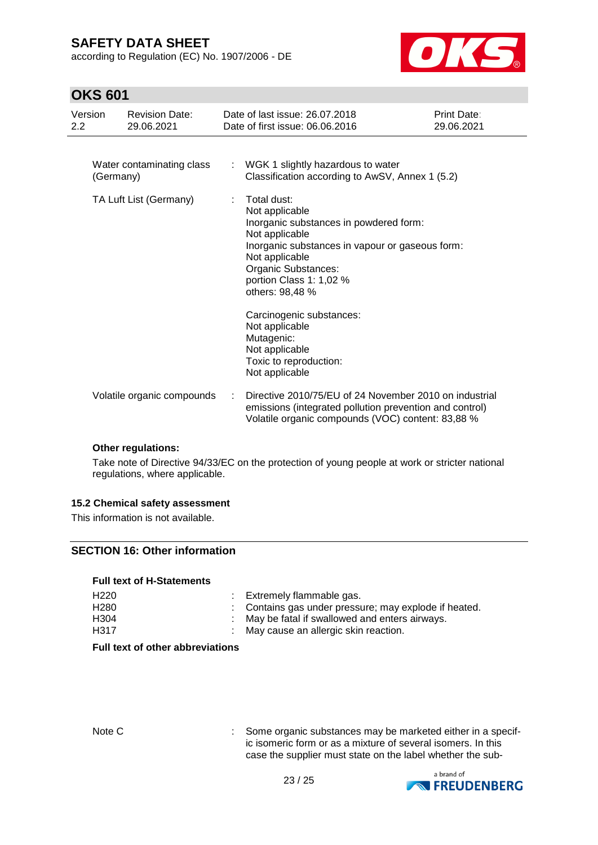according to Regulation (EC) No. 1907/2006 - DE



### **OKS 601**

| Version<br>2.2         |           | <b>Revision Date:</b><br>29.06.2021                                                                                                                                                                                                                                                                                                                                |   | Date of last issue: 26.07.2018<br>Date of first issue: 06.06.2016                                                                                                      | Print Date:<br>29.06.2021 |
|------------------------|-----------|--------------------------------------------------------------------------------------------------------------------------------------------------------------------------------------------------------------------------------------------------------------------------------------------------------------------------------------------------------------------|---|------------------------------------------------------------------------------------------------------------------------------------------------------------------------|---------------------------|
|                        | (Germany) | Water contaminating class                                                                                                                                                                                                                                                                                                                                          | ÷ | WGK 1 slightly hazardous to water<br>Classification according to AwSV, Annex 1 (5.2)                                                                                   |                           |
| TA Luft List (Germany) |           | Total dust:<br>÷<br>Not applicable<br>Inorganic substances in powdered form:<br>Not applicable<br>Inorganic substances in vapour or gaseous form:<br>Not applicable<br>Organic Substances:<br>portion Class 1: 1,02 %<br>others: 98,48 %<br>Carcinogenic substances:<br>Not applicable<br>Mutagenic:<br>Not applicable<br>Toxic to reproduction:<br>Not applicable |   |                                                                                                                                                                        |                           |
|                        |           | Volatile organic compounds                                                                                                                                                                                                                                                                                                                                         |   | Directive 2010/75/EU of 24 November 2010 on industrial<br>emissions (integrated pollution prevention and control)<br>Volatile organic compounds (VOC) content: 83,88 % |                           |

### **Other regulations:**

Take note of Directive 94/33/EC on the protection of young people at work or stricter national regulations, where applicable.

#### **15.2 Chemical safety assessment**

This information is not available.

### **SECTION 16: Other information**

#### **Full text of H-Statements**

| H <sub>220</sub> | : Extremely flammable gas.                            |
|------------------|-------------------------------------------------------|
| H <sub>280</sub> | : Contains gas under pressure; may explode if heated. |
| H <sub>304</sub> | : May be fatal if swallowed and enters airways.       |
| H <sub>317</sub> | : May cause an allergic skin reaction.                |

### **Full text of other abbreviations**

Note C : Some organic substances may be marketed either in a specific isomeric form or as a mixture of several isomers. In this case the supplier must state on the label whether the sub-

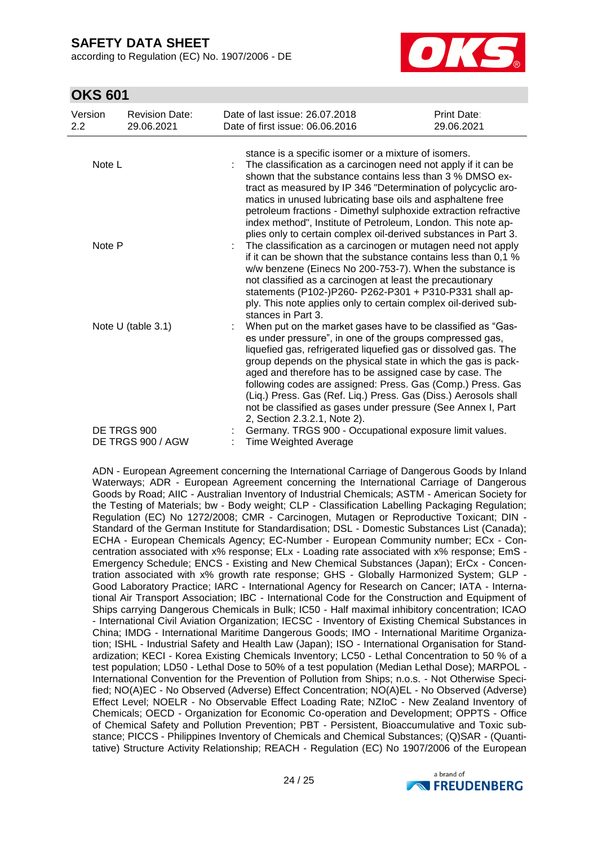according to Regulation (EC) No. 1907/2006 - DE



### **OKS 601**

| Version<br>2.2                   | <b>Revision Date:</b><br>29.06.2021 | Date of last issue: 26.07.2018<br>Date of first issue: 06.06.2016                                                                                                                                                                                                                                                                                                                                                                                                                                                                                                              | Print Date:<br>29.06.2021 |  |  |
|----------------------------------|-------------------------------------|--------------------------------------------------------------------------------------------------------------------------------------------------------------------------------------------------------------------------------------------------------------------------------------------------------------------------------------------------------------------------------------------------------------------------------------------------------------------------------------------------------------------------------------------------------------------------------|---------------------------|--|--|
| Note L                           |                                     | stance is a specific isomer or a mixture of isomers.<br>The classification as a carcinogen need not apply if it can be<br>shown that the substance contains less than 3 % DMSO ex-<br>tract as measured by IP 346 "Determination of polycyclic aro-<br>matics in unused lubricating base oils and asphaltene free<br>petroleum fractions - Dimethyl sulphoxide extraction refractive                                                                                                                                                                                           |                           |  |  |
| Note P                           |                                     | index method", Institute of Petroleum, London. This note ap-<br>plies only to certain complex oil-derived substances in Part 3.<br>The classification as a carcinogen or mutagen need not apply<br>if it can be shown that the substance contains less than 0,1 %<br>w/w benzene (Einecs No 200-753-7). When the substance is<br>not classified as a carcinogen at least the precautionary<br>statements (P102-)P260- P262-P301 + P310-P331 shall ap-<br>ply. This note applies only to certain complex oil-derived sub-                                                       |                           |  |  |
| Note U (table 3.1)               |                                     | stances in Part 3.<br>When put on the market gases have to be classified as "Gas-<br>es under pressure", in one of the groups compressed gas,<br>liquefied gas, refrigerated liquefied gas or dissolved gas. The<br>group depends on the physical state in which the gas is pack-<br>aged and therefore has to be assigned case by case. The<br>following codes are assigned: Press. Gas (Comp.) Press. Gas<br>(Liq.) Press. Gas (Ref. Liq.) Press. Gas (Diss.) Aerosols shall<br>not be classified as gases under pressure (See Annex I, Part<br>2, Section 2.3.2.1, Note 2). |                           |  |  |
| DE TRGS 900<br>DE TRGS 900 / AGW |                                     | Germany. TRGS 900 - Occupational exposure limit values.<br><b>Time Weighted Average</b>                                                                                                                                                                                                                                                                                                                                                                                                                                                                                        |                           |  |  |

ADN - European Agreement concerning the International Carriage of Dangerous Goods by Inland Waterways; ADR - European Agreement concerning the International Carriage of Dangerous Goods by Road; AIIC - Australian Inventory of Industrial Chemicals; ASTM - American Society for the Testing of Materials; bw - Body weight; CLP - Classification Labelling Packaging Regulation; Regulation (EC) No 1272/2008; CMR - Carcinogen, Mutagen or Reproductive Toxicant; DIN - Standard of the German Institute for Standardisation; DSL - Domestic Substances List (Canada); ECHA - European Chemicals Agency; EC-Number - European Community number; ECx - Concentration associated with x% response; ELx - Loading rate associated with x% response; EmS - Emergency Schedule; ENCS - Existing and New Chemical Substances (Japan); ErCx - Concentration associated with x% growth rate response; GHS - Globally Harmonized System; GLP - Good Laboratory Practice; IARC - International Agency for Research on Cancer; IATA - International Air Transport Association; IBC - International Code for the Construction and Equipment of Ships carrying Dangerous Chemicals in Bulk; IC50 - Half maximal inhibitory concentration; ICAO - International Civil Aviation Organization; IECSC - Inventory of Existing Chemical Substances in China; IMDG - International Maritime Dangerous Goods; IMO - International Maritime Organization; ISHL - Industrial Safety and Health Law (Japan); ISO - International Organisation for Standardization; KECI - Korea Existing Chemicals Inventory; LC50 - Lethal Concentration to 50 % of a test population; LD50 - Lethal Dose to 50% of a test population (Median Lethal Dose); MARPOL - International Convention for the Prevention of Pollution from Ships; n.o.s. - Not Otherwise Specified; NO(A)EC - No Observed (Adverse) Effect Concentration; NO(A)EL - No Observed (Adverse) Effect Level; NOELR - No Observable Effect Loading Rate; NZIoC - New Zealand Inventory of Chemicals; OECD - Organization for Economic Co-operation and Development; OPPTS - Office of Chemical Safety and Pollution Prevention; PBT - Persistent, Bioaccumulative and Toxic substance; PICCS - Philippines Inventory of Chemicals and Chemical Substances; (Q)SAR - (Quantitative) Structure Activity Relationship; REACH - Regulation (EC) No 1907/2006 of the European